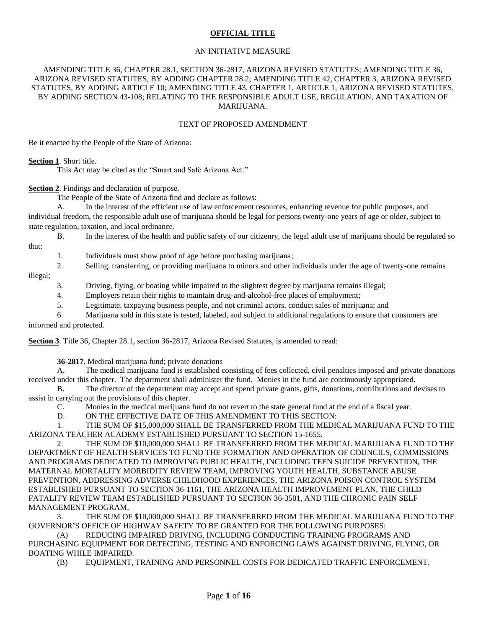### **OFFICIAL TITLE**

#### AN INITIATIVE MEASURE

#### AMENDING TITLE 36, CHAPTER 28.1, SECTION 36-2817, ARIZONA REVISED STATUTES; AMENDING TITLE 36, ARIZONA REVISED STATUTES, BY ADDING CHAPTER 28.2; AMENDING TITLE 42, CHAPTER 3, ARIZONA REVISED STATUTES, BY ADDING ARTICLE 10; AMENDING TITLE 43, CHAPTER 1, ARTICLE 1, ARIZONA REVISED STATUTES, BY ADDING SECTION 43-108; RELATING TO THE RESPONSIBLE ADULT USE, REGULATION, AND TAXATION OF MARIJUANA.

#### TEXT OF PROPOSED AMENDMENT

Be it enacted by the People of the State of Arizona:

### **Section 1**. Short title.

This Act may be cited as the "Smart and Safe Arizona Act."

**Section 2**. Findings and declaration of purpose.

The People of the State of Arizona find and declare as follows:

A. In the interest of the efficient use of law enforcement resources, enhancing revenue for public purposes, and

individual freedom, the responsible adult use of marijuana should be legal for persons twenty-one years of age or older, subject to state regulation, taxation, and local ordinance.

B. In the interest of the health and public safety of our citizenry, the legal adult use of marijuana should be regulated so

that:

- 1. Individuals must show proof of age before purchasing marijuana;
- 2. Selling, transferring, or providing marijuana to minors and other individuals under the age of twenty-one remains

illegal;

- 3. Driving, flying, or boating while impaired to the slightest degree by marijuana remains illegal;
- 4. Employers retain their rights to maintain drug-and-alcohol-free places of employment;
- 5. Legitimate, taxpaying business people, and not criminal actors, conduct sales of marijuana; and

6. Marijuana sold in this state is tested, labeled, and subject to additional regulations to ensure that consumers are informed and protected.

**Section 3**. Title 36, Chapter 28.1, section 36-2817, Arizona Revised Statutes, is amended to read:

### **36-2817**. Medical marijuana fund; private donations

A. The medical marijuana fund is established consisting of fees collected, civil penalties imposed and private donations received under this chapter. The department shall administer the fund. Monies in the fund are continuously appropriated.

B. The director of the department may accept and spend private grants, gifts, donations, contributions and devises to assist in carrying out the provisions of this chapter.

C. Monies in the medical marijuana fund do not revert to the state general fund at the end of a fiscal year.

D. ON THE EFFECTIVE DATE OF THIS AMENDMENT TO THIS SECTION:

1. THE SUM OF \$15,000,000 SHALL BE TRANSFERRED FROM THE MEDICAL MARIJUANA FUND TO THE ARIZONA TEACHER ACADEMY ESTABLISHED PURSUANT TO SECTION 15-1655.

2. THE SUM OF \$10,000,000 SHALL BE TRANSFERRED FROM THE MEDICAL MARIJUANA FUND TO THE DEPARTMENT OF HEALTH SERVICES TO FUND THE FORMATION AND OPERATION OF COUNCILS, COMMISSIONS AND PROGRAMS DEDICATED TO IMPROVING PUBLIC HEALTH, INCLUDING TEEN SUICIDE PREVENTION, THE MATERNAL MORTALITY MORBIDITY REVIEW TEAM, IMPROVING YOUTH HEALTH, SUBSTANCE ABUSE PREVENTION, ADDRESSING ADVERSE CHILDHOOD EXPERIENCES, THE ARIZONA POISON CONTROL SYSTEM ESTABLISHED PURSUANT TO SECTION 36-1161, THE ARIZONA HEALTH IMPROVEMENT PLAN, THE CHILD FATALITY REVIEW TEAM ESTABLISHED PURSUANT TO SECTION 36-3501, AND THE CHRONIC PAIN SELF MANAGEMENT PROGRAM.

3. THE SUM OF \$10,000,000 SHALL BE TRANSFERRED FROM THE MEDICAL MARIJUANA FUND TO THE GOVERNOR'S OFFICE OF HIGHWAY SAFETY TO BE GRANTED FOR THE FOLLOWING PURPOSES:

(A) REDUCING IMPAIRED DRIVING, INCLUDING CONDUCTING TRAINING PROGRAMS AND PURCHASING EQUIPMENT FOR DETECTING, TESTING AND ENFORCING LAWS AGAINST DRIVING, FLYING, OR BOATING WHILE IMPAIRED.

(B) EQUIPMENT, TRAINING AND PERSONNEL COSTS FOR DEDICATED TRAFFIC ENFORCEMENT.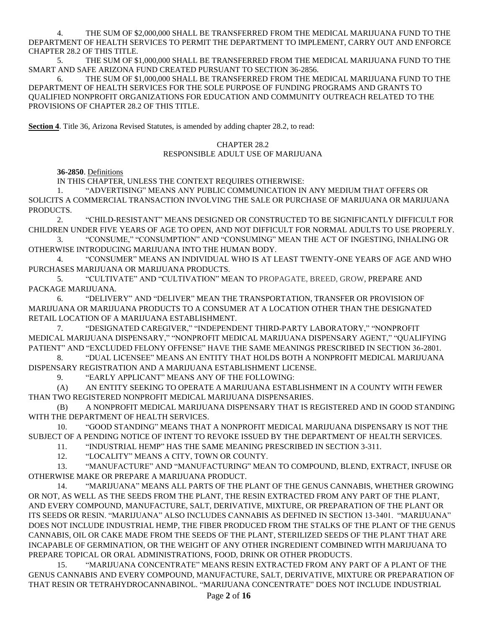THE SUM OF \$2,000,000 SHALL BE TRANSFERRED FROM THE MEDICAL MARIJUANA FUND TO THE DEPARTMENT OF HEALTH SERVICES TO PERMIT THE DEPARTMENT TO IMPLEMENT, CARRY OUT AND ENFORCE CHAPTER 28.2 OF THIS TITLE.

5. THE SUM OF \$1,000,000 SHALL BE TRANSFERRED FROM THE MEDICAL MARIJUANA FUND TO THE SMART AND SAFE ARIZONA FUND CREATED PURSUANT TO SECTION 36-2856.

6. THE SUM OF \$1,000,000 SHALL BE TRANSFERRED FROM THE MEDICAL MARIJUANA FUND TO THE DEPARTMENT OF HEALTH SERVICES FOR THE SOLE PURPOSE OF FUNDING PROGRAMS AND GRANTS TO QUALIFIED NONPROFIT ORGANIZATIONS FOR EDUCATION AND COMMUNITY OUTREACH RELATED TO THE PROVISIONS OF CHAPTER 28.2 OF THIS TITLE.

**Section 4**. Title 36, Arizona Revised Statutes, is amended by adding chapter 28.2, to read:

## CHAPTER 28.2

### RESPONSIBLE ADULT USE OF MARIJUANA

**36-2850**. Definitions

IN THIS CHAPTER, UNLESS THE CONTEXT REQUIRES OTHERWISE:

1. "ADVERTISING" MEANS ANY PUBLIC COMMUNICATION IN ANY MEDIUM THAT OFFERS OR SOLICITS A COMMERCIAL TRANSACTION INVOLVING THE SALE OR PURCHASE OF MARIJUANA OR MARIJUANA PRODUCTS.

2. "CHILD-RESISTANT" MEANS DESIGNED OR CONSTRUCTED TO BE SIGNIFICANTLY DIFFICULT FOR CHILDREN UNDER FIVE YEARS OF AGE TO OPEN, AND NOT DIFFICULT FOR NORMAL ADULTS TO USE PROPERLY.

3. "CONSUME," "CONSUMPTION" AND "CONSUMING" MEAN THE ACT OF INGESTING, INHALING OR OTHERWISE INTRODUCING MARIJUANA INTO THE HUMAN BODY.

4. "CONSUMER" MEANS AN INDIVIDUAL WHO IS AT LEAST TWENTY-ONE YEARS OF AGE AND WHO PURCHASES MARIJUANA OR MARIJUANA PRODUCTS.

5. "CULTIVATE" AND "CULTIVATION" MEAN TO PROPAGATE, BREED, GROW, PREPARE AND PACKAGE MARIJUANA.

6. "DELIVERY" AND "DELIVER" MEAN THE TRANSPORTATION, TRANSFER OR PROVISION OF MARIJUANA OR MARIJUANA PRODUCTS TO A CONSUMER AT A LOCATION OTHER THAN THE DESIGNATED RETAIL LOCATION OF A MARIJUANA ESTABLISHMENT.

7. "DESIGNATED CAREGIVER," "INDEPENDENT THIRD-PARTY LABORATORY," "NONPROFIT MEDICAL MARIJUANA DISPENSARY," "NONPROFIT MEDICAL MARIJUANA DISPENSARY AGENT," "QUALIFYING PATIENT" AND "EXCLUDED FELONY OFFENSE" HAVE THE SAME MEANINGS PRESCRIBED IN SECTION 36-2801.

8. "DUAL LICENSEE" MEANS AN ENTITY THAT HOLDS BOTH A NONPROFIT MEDICAL MARIJUANA DISPENSARY REGISTRATION AND A MARIJUANA ESTABLISHMENT LICENSE.

9. "EARLY APPLICANT" MEANS ANY OF THE FOLLOWING:

(A) AN ENTITY SEEKING TO OPERATE A MARIJUANA ESTABLISHMENT IN A COUNTY WITH FEWER THAN TWO REGISTERED NONPROFIT MEDICAL MARIJUANA DISPENSARIES.

(B) A NONPROFIT MEDICAL MARIJUANA DISPENSARY THAT IS REGISTERED AND IN GOOD STANDING WITH THE DEPARTMENT OF HEALTH SERVICES.

10. "GOOD STANDING" MEANS THAT A NONPROFIT MEDICAL MARIJUANA DISPENSARY IS NOT THE SUBJECT OF A PENDING NOTICE OF INTENT TO REVOKE ISSUED BY THE DEPARTMENT OF HEALTH SERVICES.

11. "INDUSTRIAL HEMP" HAS THE SAME MEANING PRESCRIBED IN SECTION 3-311.

12. "LOCALITY" MEANS A CITY, TOWN OR COUNTY.

13. "MANUFACTURE" AND "MANUFACTURING" MEAN TO COMPOUND, BLEND, EXTRACT, INFUSE OR OTHERWISE MAKE OR PREPARE A MARIJUANA PRODUCT.

14. "MARIJUANA" MEANS ALL PARTS OF THE PLANT OF THE GENUS CANNABIS, WHETHER GROWING OR NOT, AS WELL AS THE SEEDS FROM THE PLANT, THE RESIN EXTRACTED FROM ANY PART OF THE PLANT, AND EVERY COMPOUND, MANUFACTURE, SALT, DERIVATIVE, MIXTURE, OR PREPARATION OF THE PLANT OR ITS SEEDS OR RESIN. "MARIJUANA" ALSO INCLUDES CANNABIS AS DEFINED IN SECTION 13-3401. "MARIJUANA" DOES NOT INCLUDE INDUSTRIAL HEMP, THE FIBER PRODUCED FROM THE STALKS OF THE PLANT OF THE GENUS CANNABIS, OIL OR CAKE MADE FROM THE SEEDS OF THE PLANT, STERILIZED SEEDS OF THE PLANT THAT ARE INCAPABLE OF GERMINATION, OR THE WEIGHT OF ANY OTHER INGREDIENT COMBINED WITH MARIJUANA TO PREPARE TOPICAL OR ORAL ADMINISTRATIONS, FOOD, DRINK OR OTHER PRODUCTS.

15. "MARIJUANA CONCENTRATE" MEANS RESIN EXTRACTED FROM ANY PART OF A PLANT OF THE GENUS CANNABIS AND EVERY COMPOUND, MANUFACTURE, SALT, DERIVATIVE, MIXTURE OR PREPARATION OF THAT RESIN OR TETRAHYDROCANNABINOL. "MARIJUANA CONCENTRATE" DOES NOT INCLUDE INDUSTRIAL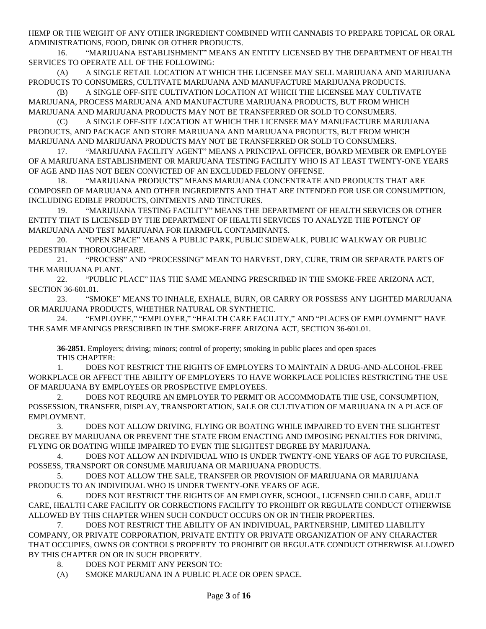HEMP OR THE WEIGHT OF ANY OTHER INGREDIENT COMBINED WITH CANNABIS TO PREPARE TOPICAL OR ORAL ADMINISTRATIONS, FOOD, DRINK OR OTHER PRODUCTS.

16. "MARIJUANA ESTABLISHMENT" MEANS AN ENTITY LICENSED BY THE DEPARTMENT OF HEALTH SERVICES TO OPERATE ALL OF THE FOLLOWING:

(A) A SINGLE RETAIL LOCATION AT WHICH THE LICENSEE MAY SELL MARIJUANA AND MARIJUANA PRODUCTS TO CONSUMERS, CULTIVATE MARIJUANA AND MANUFACTURE MARIJUANA PRODUCTS.

(B) A SINGLE OFF-SITE CULTIVATION LOCATION AT WHICH THE LICENSEE MAY CULTIVATE MARIJUANA, PROCESS MARIJUANA AND MANUFACTURE MARIJUANA PRODUCTS, BUT FROM WHICH MARIJUANA AND MARIJUANA PRODUCTS MAY NOT BE TRANSFERRED OR SOLD TO CONSUMERS.

(C) A SINGLE OFF-SITE LOCATION AT WHICH THE LICENSEE MAY MANUFACTURE MARIJUANA PRODUCTS, AND PACKAGE AND STORE MARIJUANA AND MARIJUANA PRODUCTS, BUT FROM WHICH MARIJUANA AND MARIJUANA PRODUCTS MAY NOT BE TRANSFERRED OR SOLD TO CONSUMERS.

17. "MARIJUANA FACILITY AGENT" MEANS A PRINCIPAL OFFICER, BOARD MEMBER OR EMPLOYEE OF A MARIJUANA ESTABLISHMENT OR MARIJUANA TESTING FACILITY WHO IS AT LEAST TWENTY-ONE YEARS OF AGE AND HAS NOT BEEN CONVICTED OF AN EXCLUDED FELONY OFFENSE.

18. "MARIJUANA PRODUCTS" MEANS MARIJUANA CONCENTRATE AND PRODUCTS THAT ARE COMPOSED OF MARIJUANA AND OTHER INGREDIENTS AND THAT ARE INTENDED FOR USE OR CONSUMPTION, INCLUDING EDIBLE PRODUCTS, OINTMENTS AND TINCTURES.

19. "MARIJUANA TESTING FACILITY" MEANS THE DEPARTMENT OF HEALTH SERVICES OR OTHER ENTITY THAT IS LICENSED BY THE DEPARTMENT OF HEALTH SERVICES TO ANALYZE THE POTENCY OF MARIJUANA AND TEST MARIJUANA FOR HARMFUL CONTAMINANTS.

20. "OPEN SPACE" MEANS A PUBLIC PARK, PUBLIC SIDEWALK, PUBLIC WALKWAY OR PUBLIC PEDESTRIAN THOROUGHFARE.

21. "PROCESS" AND "PROCESSING" MEAN TO HARVEST, DRY, CURE, TRIM OR SEPARATE PARTS OF THE MARIJUANA PLANT.

22. "PUBLIC PLACE" HAS THE SAME MEANING PRESCRIBED IN THE SMOKE-FREE ARIZONA ACT, SECTION 36-601.01.

23. "SMOKE" MEANS TO INHALE, EXHALE, BURN, OR CARRY OR POSSESS ANY LIGHTED MARIJUANA OR MARIJUANA PRODUCTS, WHETHER NATURAL OR SYNTHETIC.

"EMPLOYEE," "EMPLOYER," "HEALTH CARE FACILITY," AND "PLACES OF EMPLOYMENT" HAVE THE SAME MEANINGS PRESCRIBED IN THE SMOKE-FREE ARIZONA ACT, SECTION 36-601.01.

**36-2851**. Employers; driving; minors; control of property; smoking in public places and open spaces THIS CHAPTER:

1. DOES NOT RESTRICT THE RIGHTS OF EMPLOYERS TO MAINTAIN A DRUG-AND-ALCOHOL-FREE WORKPLACE OR AFFECT THE ABILITY OF EMPLOYERS TO HAVE WORKPLACE POLICIES RESTRICTING THE USE OF MARIJUANA BY EMPLOYEES OR PROSPECTIVE EMPLOYEES.

2. DOES NOT REQUIRE AN EMPLOYER TO PERMIT OR ACCOMMODATE THE USE, CONSUMPTION, POSSESSION, TRANSFER, DISPLAY, TRANSPORTATION, SALE OR CULTIVATION OF MARIJUANA IN A PLACE OF EMPLOYMENT.

3. DOES NOT ALLOW DRIVING, FLYING OR BOATING WHILE IMPAIRED TO EVEN THE SLIGHTEST DEGREE BY MARIJUANA OR PREVENT THE STATE FROM ENACTING AND IMPOSING PENALTIES FOR DRIVING, FLYING OR BOATING WHILE IMPAIRED TO EVEN THE SLIGHTEST DEGREE BY MARIJUANA.

4. DOES NOT ALLOW AN INDIVIDUAL WHO IS UNDER TWENTY-ONE YEARS OF AGE TO PURCHASE, POSSESS, TRANSPORT OR CONSUME MARIJUANA OR MARIJUANA PRODUCTS.

5. DOES NOT ALLOW THE SALE, TRANSFER OR PROVISION OF MARIJUANA OR MARIJUANA PRODUCTS TO AN INDIVIDUAL WHO IS UNDER TWENTY-ONE YEARS OF AGE.

6. DOES NOT RESTRICT THE RIGHTS OF AN EMPLOYER, SCHOOL, LICENSED CHILD CARE, ADULT CARE, HEALTH CARE FACILITY OR CORRECTIONS FACILITY TO PROHIBIT OR REGULATE CONDUCT OTHERWISE ALLOWED BY THIS CHAPTER WHEN SUCH CONDUCT OCCURS ON OR IN THEIR PROPERTIES.

7. DOES NOT RESTRICT THE ABILITY OF AN INDIVIDUAL, PARTNERSHIP, LIMITED LIABILITY COMPANY, OR PRIVATE CORPORATION, PRIVATE ENTITY OR PRIVATE ORGANIZATION OF ANY CHARACTER THAT OCCUPIES, OWNS OR CONTROLS PROPERTY TO PROHIBIT OR REGULATE CONDUCT OTHERWISE ALLOWED BY THIS CHAPTER ON OR IN SUCH PROPERTY.

8. DOES NOT PERMIT ANY PERSON TO:

(A) SMOKE MARIJUANA IN A PUBLIC PLACE OR OPEN SPACE.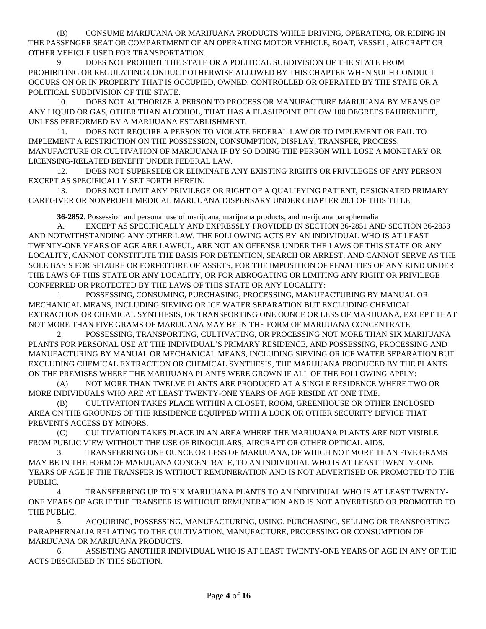(B) CONSUME MARIJUANA OR MARIJUANA PRODUCTS WHILE DRIVING, OPERATING, OR RIDING IN THE PASSENGER SEAT OR COMPARTMENT OF AN OPERATING MOTOR VEHICLE, BOAT, VESSEL, AIRCRAFT OR OTHER VEHICLE USED FOR TRANSPORTATION.

9. DOES NOT PROHIBIT THE STATE OR A POLITICAL SUBDIVISION OF THE STATE FROM PROHIBITING OR REGULATING CONDUCT OTHERWISE ALLOWED BY THIS CHAPTER WHEN SUCH CONDUCT OCCURS ON OR IN PROPERTY THAT IS OCCUPIED, OWNED, CONTROLLED OR OPERATED BY THE STATE OR A POLITICAL SUBDIVISION OF THE STATE.

10. DOES NOT AUTHORIZE A PERSON TO PROCESS OR MANUFACTURE MARIJUANA BY MEANS OF ANY LIQUID OR GAS, OTHER THAN ALCOHOL, THAT HAS A FLASHPOINT BELOW 100 DEGREES FAHRENHEIT, UNLESS PERFORMED BY A MARIJUANA ESTABLISHMENT.

11. DOES NOT REQUIRE A PERSON TO VIOLATE FEDERAL LAW OR TO IMPLEMENT OR FAIL TO IMPLEMENT A RESTRICTION ON THE POSSESSION, CONSUMPTION, DISPLAY, TRANSFER, PROCESS, MANUFACTURE OR CULTIVATION OF MARIJUANA IF BY SO DOING THE PERSON WILL LOSE A MONETARY OR LICENSING-RELATED BENEFIT UNDER FEDERAL LAW.

12. DOES NOT SUPERSEDE OR ELIMINATE ANY EXISTING RIGHTS OR PRIVILEGES OF ANY PERSON EXCEPT AS SPECIFICALLY SET FORTH HEREIN.

13. DOES NOT LIMIT ANY PRIVILEGE OR RIGHT OF A QUALIFYING PATIENT, DESIGNATED PRIMARY CAREGIVER OR NONPROFIT MEDICAL MARIJUANA DISPENSARY UNDER CHAPTER 28.1 OF THIS TITLE.

**36-2852**. Possession and personal use of marijuana, marijuana products, and marijuana paraphernalia

A. EXCEPT AS SPECIFICALLY AND EXPRESSLY PROVIDED IN SECTION 36-2851 AND SECTION 36-2853 AND NOTWITHSTANDING ANY OTHER LAW, THE FOLLOWING ACTS BY AN INDIVIDUAL WHO IS AT LEAST TWENTY-ONE YEARS OF AGE ARE LAWFUL, ARE NOT AN OFFENSE UNDER THE LAWS OF THIS STATE OR ANY LOCALITY, CANNOT CONSTITUTE THE BASIS FOR DETENTION, SEARCH OR ARREST, AND CANNOT SERVE AS THE SOLE BASIS FOR SEIZURE OR FORFEITURE OF ASSETS, FOR THE IMPOSITION OF PENALTIES OF ANY KIND UNDER THE LAWS OF THIS STATE OR ANY LOCALITY, OR FOR ABROGATING OR LIMITING ANY RIGHT OR PRIVILEGE CONFERRED OR PROTECTED BY THE LAWS OF THIS STATE OR ANY LOCALITY:

1. POSSESSING, CONSUMING, PURCHASING, PROCESSING, MANUFACTURING BY MANUAL OR MECHANICAL MEANS, INCLUDING SIEVING OR ICE WATER SEPARATION BUT EXCLUDING CHEMICAL EXTRACTION OR CHEMICAL SYNTHESIS, OR TRANSPORTING ONE OUNCE OR LESS OF MARIJUANA, EXCEPT THAT NOT MORE THAN FIVE GRAMS OF MARIJUANA MAY BE IN THE FORM OF MARIJUANA CONCENTRATE.

2. POSSESSING, TRANSPORTING, CULTIVATING, OR PROCESSING NOT MORE THAN SIX MARIJUANA PLANTS FOR PERSONAL USE AT THE INDIVIDUAL'S PRIMARY RESIDENCE, AND POSSESSING, PROCESSING AND MANUFACTURING BY MANUAL OR MECHANICAL MEANS, INCLUDING SIEVING OR ICE WATER SEPARATION BUT EXCLUDING CHEMICAL EXTRACTION OR CHEMICAL SYNTHESIS, THE MARIJUANA PRODUCED BY THE PLANTS ON THE PREMISES WHERE THE MARIJUANA PLANTS WERE GROWN IF ALL OF THE FOLLOWING APPLY:

(A) NOT MORE THAN TWELVE PLANTS ARE PRODUCED AT A SINGLE RESIDENCE WHERE TWO OR MORE INDIVIDUALS WHO ARE AT LEAST TWENTY-ONE YEARS OF AGE RESIDE AT ONE TIME.

(B) CULTIVATION TAKES PLACE WITHIN A CLOSET, ROOM, GREENHOUSE OR OTHER ENCLOSED AREA ON THE GROUNDS OF THE RESIDENCE EQUIPPED WITH A LOCK OR OTHER SECURITY DEVICE THAT PREVENTS ACCESS BY MINORS.

(C) CULTIVATION TAKES PLACE IN AN AREA WHERE THE MARIJUANA PLANTS ARE NOT VISIBLE FROM PUBLIC VIEW WITHOUT THE USE OF BINOCULARS, AIRCRAFT OR OTHER OPTICAL AIDS.

3. TRANSFERRING ONE OUNCE OR LESS OF MARIJUANA, OF WHICH NOT MORE THAN FIVE GRAMS MAY BE IN THE FORM OF MARIJUANA CONCENTRATE, TO AN INDIVIDUAL WHO IS AT LEAST TWENTY-ONE YEARS OF AGE IF THE TRANSFER IS WITHOUT REMUNERATION AND IS NOT ADVERTISED OR PROMOTED TO THE PUBLIC.

4. TRANSFERRING UP TO SIX MARIJUANA PLANTS TO AN INDIVIDUAL WHO IS AT LEAST TWENTY-ONE YEARS OF AGE IF THE TRANSFER IS WITHOUT REMUNERATION AND IS NOT ADVERTISED OR PROMOTED TO THE PUBLIC.

5. ACQUIRING, POSSESSING, MANUFACTURING, USING, PURCHASING, SELLING OR TRANSPORTING PARAPHERNALIA RELATING TO THE CULTIVATION, MANUFACTURE, PROCESSING OR CONSUMPTION OF MARIJUANA OR MARIJUANA PRODUCTS.

6. ASSISTING ANOTHER INDIVIDUAL WHO IS AT LEAST TWENTY-ONE YEARS OF AGE IN ANY OF THE ACTS DESCRIBED IN THIS SECTION.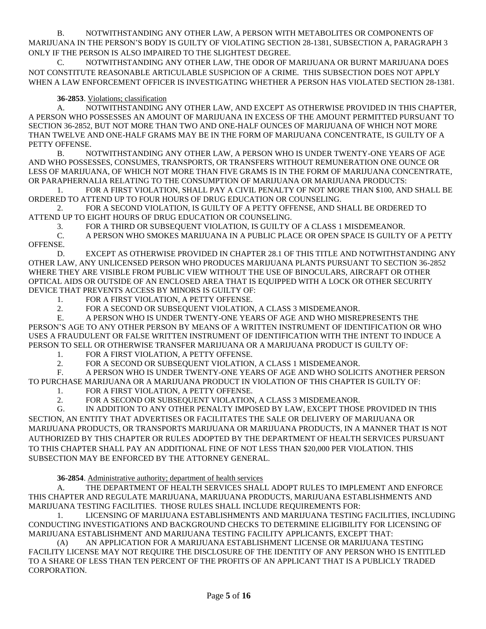B. NOTWITHSTANDING ANY OTHER LAW, A PERSON WITH METABOLITES OR COMPONENTS OF MARIJUANA IN THE PERSON'S BODY IS GUILTY OF VIOLATING SECTION 28-1381, SUBSECTION A, PARAGRAPH 3 ONLY IF THE PERSON IS ALSO IMPAIRED TO THE SLIGHTEST DEGREE.

NOTWITHSTANDING ANY OTHER LAW, THE ODOR OF MARIJUANA OR BURNT MARIJUANA DOES NOT CONSTITUTE REASONABLE ARTICULABLE SUSPICION OF A CRIME. THIS SUBSECTION DOES NOT APPLY WHEN A LAW ENFORCEMENT OFFICER IS INVESTIGATING WHETHER A PERSON HAS VIOLATED SECTION 28-1381.

**36-2853**. Violations; classification

A. NOTWITHSTANDING ANY OTHER LAW, AND EXCEPT AS OTHERWISE PROVIDED IN THIS CHAPTER, A PERSON WHO POSSESSES AN AMOUNT OF MARIJUANA IN EXCESS OF THE AMOUNT PERMITTED PURSUANT TO SECTION 36-2852, BUT NOT MORE THAN TWO AND ONE-HALF OUNCES OF MARIJUANA OF WHICH NOT MORE THAN TWELVE AND ONE-HALF GRAMS MAY BE IN THE FORM OF MARIJUANA CONCENTRATE, IS GUILTY OF A PETTY OFFENSE.

B. NOTWITHSTANDING ANY OTHER LAW, A PERSON WHO IS UNDER TWENTY-ONE YEARS OF AGE AND WHO POSSESSES, CONSUMES, TRANSPORTS, OR TRANSFERS WITHOUT REMUNERATION ONE OUNCE OR LESS OF MARIJUANA, OF WHICH NOT MORE THAN FIVE GRAMS IS IN THE FORM OF MARIJUANA CONCENTRATE, OR PARAPHERNALIA RELATING TO THE CONSUMPTION OF MARIJUANA OR MARIJUANA PRODUCTS:

1. FOR A FIRST VIOLATION, SHALL PAY A CIVIL PENALTY OF NOT MORE THAN \$100, AND SHALL BE ORDERED TO ATTEND UP TO FOUR HOURS OF DRUG EDUCATION OR COUNSELING.

2. FOR A SECOND VIOLATION, IS GUILTY OF A PETTY OFFENSE, AND SHALL BE ORDERED TO ATTEND UP TO EIGHT HOURS OF DRUG EDUCATION OR COUNSELING.

3. FOR A THIRD OR SUBSEQUENT VIOLATION, IS GUILTY OF A CLASS 1 MISDEMEANOR.

C. A PERSON WHO SMOKES MARIJUANA IN A PUBLIC PLACE OR OPEN SPACE IS GUILTY OF A PETTY OFFENSE.

D. EXCEPT AS OTHERWISE PROVIDED IN CHAPTER 28.1 OF THIS TITLE AND NOTWITHSTANDING ANY OTHER LAW, ANY UNLICENSED PERSON WHO PRODUCES MARIJUANA PLANTS PURSUANT TO SECTION 36-2852 WHERE THEY ARE VISIBLE FROM PUBLIC VIEW WITHOUT THE USE OF BINOCULARS, AIRCRAFT OR OTHER OPTICAL AIDS OR OUTSIDE OF AN ENCLOSED AREA THAT IS EQUIPPED WITH A LOCK OR OTHER SECURITY DEVICE THAT PREVENTS ACCESS BY MINORS IS GUILTY OF:

- 1. FOR A FIRST VIOLATION, A PETTY OFFENSE.
- 2. FOR A SECOND OR SUBSEQUENT VIOLATION, A CLASS 3 MISDEMEANOR.

E. A PERSON WHO IS UNDER TWENTY-ONE YEARS OF AGE AND WHO MISREPRESENTS THE PERSON'S AGE TO ANY OTHER PERSON BY MEANS OF A WRITTEN INSTRUMENT OF IDENTIFICATION OR WHO USES A FRAUDULENT OR FALSE WRITTEN INSTRUMENT OF IDENTIFICATION WITH THE INTENT TO INDUCE A PERSON TO SELL OR OTHERWISE TRANSFER MARIJUANA OR A MARIJUANA PRODUCT IS GUILTY OF:

1. FOR A FIRST VIOLATION, A PETTY OFFENSE.

2. FOR A SECOND OR SUBSEQUENT VIOLATION, A CLASS 1 MISDEMEANOR.

F. A PERSON WHO IS UNDER TWENTY-ONE YEARS OF AGE AND WHO SOLICITS ANOTHER PERSON TO PURCHASE MARIJUANA OR A MARIJUANA PRODUCT IN VIOLATION OF THIS CHAPTER IS GUILTY OF:

1. FOR A FIRST VIOLATION, A PETTY OFFENSE.

2. FOR A SECOND OR SUBSEQUENT VIOLATION, A CLASS 3 MISDEMEANOR.

G. IN ADDITION TO ANY OTHER PENALTY IMPOSED BY LAW, EXCEPT THOSE PROVIDED IN THIS SECTION, AN ENTITY THAT ADVERTISES OR FACILITATES THE SALE OR DELIVERY OF MARIJUANA OR MARIJUANA PRODUCTS, OR TRANSPORTS MARIJUANA OR MARIJUANA PRODUCTS, IN A MANNER THAT IS NOT AUTHORIZED BY THIS CHAPTER OR RULES ADOPTED BY THE DEPARTMENT OF HEALTH SERVICES PURSUANT TO THIS CHAPTER SHALL PAY AN ADDITIONAL FINE OF NOT LESS THAN \$20,000 PER VIOLATION. THIS SUBSECTION MAY BE ENFORCED BY THE ATTORNEY GENERAL.

**36-2854**. Administrative authority; department of health services

A. THE DEPARTMENT OF HEALTH SERVICES SHALL ADOPT RULES TO IMPLEMENT AND ENFORCE THIS CHAPTER AND REGULATE MARIJUANA, MARIJUANA PRODUCTS, MARIJUANA ESTABLISHMENTS AND MARIJUANA TESTING FACILITIES. THOSE RULES SHALL INCLUDE REQUIREMENTS FOR:

1. LICENSING OF MARIJUANA ESTABLISHMENTS AND MARIJUANA TESTING FACILITIES, INCLUDING CONDUCTING INVESTIGATIONS AND BACKGROUND CHECKS TO DETERMINE ELIGIBILITY FOR LICENSING OF MARIJUANA ESTABLISHMENT AND MARIJUANA TESTING FACILITY APPLICANTS, EXCEPT THAT:

(A) AN APPLICATION FOR A MARIJUANA ESTABLISHMENT LICENSE OR MARIJUANA TESTING FACILITY LICENSE MAY NOT REQUIRE THE DISCLOSURE OF THE IDENTITY OF ANY PERSON WHO IS ENTITLED TO A SHARE OF LESS THAN TEN PERCENT OF THE PROFITS OF AN APPLICANT THAT IS A PUBLICLY TRADED CORPORATION.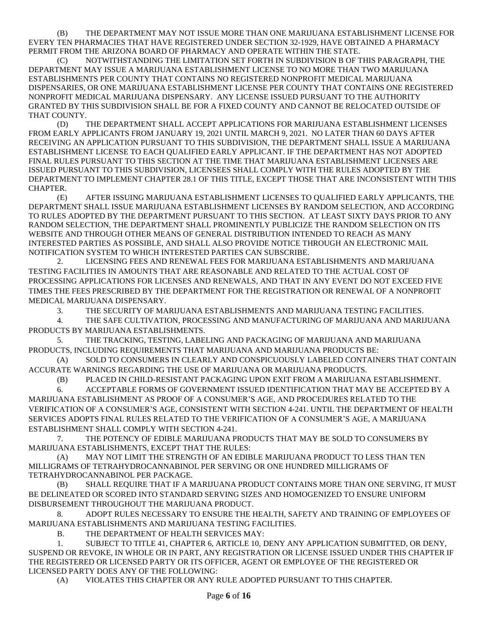(B) THE DEPARTMENT MAY NOT ISSUE MORE THAN ONE MARIJUANA ESTABLISHMENT LICENSE FOR EVERY TEN PHARMACIES THAT HAVE REGISTERED UNDER SECTION 32-1929, HAVE OBTAINED A PHARMACY PERMIT FROM THE ARIZONA BOARD OF PHARMACY AND OPERATE WITHIN THE STATE.

NOTWITHSTANDING THE LIMITATION SET FORTH IN SUBDIVISION B OF THIS PARAGRAPH, THE DEPARTMENT MAY ISSUE A MARIJUANA ESTABLISHMENT LICENSE TO NO MORE THAN TWO MARIJUANA ESTABLISHMENTS PER COUNTY THAT CONTAINS NO REGISTERED NONPROFIT MEDICAL MARIJUANA DISPENSARIES, OR ONE MARIJUANA ESTABLISHMENT LICENSE PER COUNTY THAT CONTAINS ONE REGISTERED NONPROFIT MEDICAL MARIJUANA DISPENSARY. ANY LICENSE ISSUED PURSUANT TO THE AUTHORITY GRANTED BY THIS SUBDIVISION SHALL BE FOR A FIXED COUNTY AND CANNOT BE RELOCATED OUTSIDE OF THAT COUNTY.

(D) THE DEPARTMENT SHALL ACCEPT APPLICATIONS FOR MARIJUANA ESTABLISHMENT LICENSES FROM EARLY APPLICANTS FROM JANUARY 19, 2021 UNTIL MARCH 9, 2021. NO LATER THAN 60 DAYS AFTER RECEIVING AN APPLICATION PURSUANT TO THIS SUBDIVISION, THE DEPARTMENT SHALL ISSUE A MARIJUANA ESTABLISHMENT LICENSE TO EACH QUALIFIED EARLY APPLICANT. IF THE DEPARTMENT HAS NOT ADOPTED FINAL RULES PURSUANT TO THIS SECTION AT THE TIME THAT MARIJUANA ESTABLISHMENT LICENSES ARE ISSUED PURSUANT TO THIS SUBDIVISION, LICENSEES SHALL COMPLY WITH THE RULES ADOPTED BY THE DEPARTMENT TO IMPLEMENT CHAPTER 28.1 OF THIS TITLE, EXCEPT THOSE THAT ARE INCONSISTENT WITH THIS CHAPTER.

(E) AFTER ISSUING MARIJUANA ESTABLISHMENT LICENSES TO QUALIFIED EARLY APPLICANTS, THE DEPARTMENT SHALL ISSUE MARIJUANA ESTABLISHMENT LICENSES BY RANDOM SELECTION, AND ACCORDING TO RULES ADOPTED BY THE DEPARTMENT PURSUANT TO THIS SECTION. AT LEAST SIXTY DAYS PRIOR TO ANY RANDOM SELECTION, THE DEPARTMENT SHALL PROMINENTLY PUBLICIZE THE RANDOM SELECTION ON ITS WEBSITE AND THROUGH OTHER MEANS OF GENERAL DISTRIBUTION INTENDED TO REACH AS MANY INTERESTED PARTIES AS POSSIBLE, AND SHALL ALSO PROVIDE NOTICE THROUGH AN ELECTRONIC MAIL NOTIFICATION SYSTEM TO WHICH INTERESTED PARTIES CAN SUBSCRIBE.

2. LICENSING FEES AND RENEWAL FEES FOR MARIJUANA ESTABLISHMENTS AND MARIJUANA TESTING FACILITIES IN AMOUNTS THAT ARE REASONABLE AND RELATED TO THE ACTUAL COST OF PROCESSING APPLICATIONS FOR LICENSES AND RENEWALS, AND THAT IN ANY EVENT DO NOT EXCEED FIVE TIMES THE FEES PRESCRIBED BY THE DEPARTMENT FOR THE REGISTRATION OR RENEWAL OF A NONPROFIT MEDICAL MARIJUANA DISPENSARY.

3. THE SECURITY OF MARIJUANA ESTABLISHMENTS AND MARIJUANA TESTING FACILITIES.

4. THE SAFE CULTIVATION, PROCESSING AND MANUFACTURING OF MARIJUANA AND MARIJUANA PRODUCTS BY MARIJUANA ESTABLISHMENTS.

5. THE TRACKING, TESTING, LABELING AND PACKAGING OF MARIJUANA AND MARIJUANA PRODUCTS, INCLUDING REQUIREMENTS THAT MARIJUANA AND MARIJUANA PRODUCTS BE:

(A) SOLD TO CONSUMERS IN CLEARLY AND CONSPICUOUSLY LABELED CONTAINERS THAT CONTAIN ACCURATE WARNINGS REGARDING THE USE OF MARIJUANA OR MARIJUANA PRODUCTS.

(B) PLACED IN CHILD-RESISTANT PACKAGING UPON EXIT FROM A MARIJUANA ESTABLISHMENT.

6. ACCEPTABLE FORMS OF GOVERNMENT ISSUED IDENTIFICATION THAT MAY BE ACCEPTED BY A MARIJUANA ESTABLISHMENT AS PROOF OF A CONSUMER'S AGE, AND PROCEDURES RELATED TO THE VERIFICATION OF A CONSUMER'S AGE, CONSISTENT WITH SECTION 4-241. UNTIL THE DEPARTMENT OF HEALTH SERVICES ADOPTS FINAL RULES RELATED TO THE VERIFICATION OF A CONSUMER'S AGE, A MARIJUANA ESTABLISHMENT SHALL COMPLY WITH SECTION 4-241.

7. THE POTENCY OF EDIBLE MARIJUANA PRODUCTS THAT MAY BE SOLD TO CONSUMERS BY MARIJUANA ESTABLISHMENTS, EXCEPT THAT THE RULES:

(A) MAY NOT LIMIT THE STRENGTH OF AN EDIBLE MARIJUANA PRODUCT TO LESS THAN TEN MILLIGRAMS OF TETRAHYDROCANNABINOL PER SERVING OR ONE HUNDRED MILLIGRAMS OF TETRAHYDROCANNABINOL PER PACKAGE.

(B) SHALL REQUIRE THAT IF A MARIJUANA PRODUCT CONTAINS MORE THAN ONE SERVING, IT MUST BE DELINEATED OR SCORED INTO STANDARD SERVING SIZES AND HOMOGENIZED TO ENSURE UNIFORM DISBURSEMENT THROUGHOUT THE MARIJUANA PRODUCT.

8. ADOPT RULES NECESSARY TO ENSURE THE HEALTH, SAFETY AND TRAINING OF EMPLOYEES OF MARIJUANA ESTABLISHMENTS AND MARIJUANA TESTING FACILITIES.

B. THE DEPARTMENT OF HEALTH SERVICES MAY:

1. SUBJECT TO TITLE 41, CHAPTER 6, ARTICLE 10, DENY ANY APPLICATION SUBMITTED, OR DENY, SUSPEND OR REVOKE, IN WHOLE OR IN PART, ANY REGISTRATION OR LICENSE ISSUED UNDER THIS CHAPTER IF THE REGISTERED OR LICENSED PARTY OR ITS OFFICER, AGENT OR EMPLOYEE OF THE REGISTERED OR LICENSED PARTY DOES ANY OF THE FOLLOWING:

(A) VIOLATES THIS CHAPTER OR ANY RULE ADOPTED PURSUANT TO THIS CHAPTER.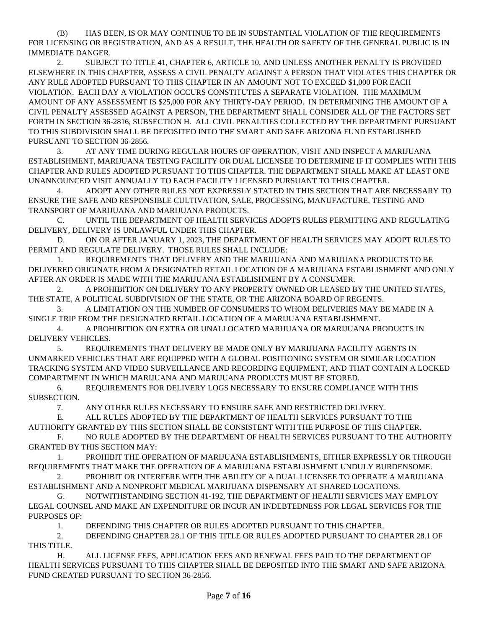(B) HAS BEEN, IS OR MAY CONTINUE TO BE IN SUBSTANTIAL VIOLATION OF THE REQUIREMENTS FOR LICENSING OR REGISTRATION, AND AS A RESULT, THE HEALTH OR SAFETY OF THE GENERAL PUBLIC IS IN IMMEDIATE DANGER.

2. SUBJECT TO TITLE 41, CHAPTER 6, ARTICLE 10, AND UNLESS ANOTHER PENALTY IS PROVIDED ELSEWHERE IN THIS CHAPTER, ASSESS A CIVIL PENALTY AGAINST A PERSON THAT VIOLATES THIS CHAPTER OR ANY RULE ADOPTED PURSUANT TO THIS CHAPTER IN AN AMOUNT NOT TO EXCEED \$1,000 FOR EACH VIOLATION. EACH DAY A VIOLATION OCCURS CONSTITUTES A SEPARATE VIOLATION. THE MAXIMUM AMOUNT OF ANY ASSESSMENT IS \$25,000 FOR ANY THIRTY-DAY PERIOD. IN DETERMINING THE AMOUNT OF A CIVIL PENALTY ASSESSED AGAINST A PERSON, THE DEPARTMENT SHALL CONSIDER ALL OF THE FACTORS SET FORTH IN SECTION 36-2816, SUBSECTION H. ALL CIVIL PENALTIES COLLECTED BY THE DEPARTMENT PURSUANT TO THIS SUBDIVISION SHALL BE DEPOSITED INTO THE SMART AND SAFE ARIZONA FUND ESTABLISHED PURSUANT TO SECTION 36-2856.

3. AT ANY TIME DURING REGULAR HOURS OF OPERATION, VISIT AND INSPECT A MARIJUANA ESTABLISHMENT, MARIJUANA TESTING FACILITY OR DUAL LICENSEE TO DETERMINE IF IT COMPLIES WITH THIS CHAPTER AND RULES ADOPTED PURSUANT TO THIS CHAPTER. THE DEPARTMENT SHALL MAKE AT LEAST ONE UNANNOUNCED VISIT ANNUALLY TO EACH FACILITY LICENSED PURSUANT TO THIS CHAPTER.

4. ADOPT ANY OTHER RULES NOT EXPRESSLY STATED IN THIS SECTION THAT ARE NECESSARY TO ENSURE THE SAFE AND RESPONSIBLE CULTIVATION, SALE, PROCESSING, MANUFACTURE, TESTING AND TRANSPORT OF MARIJUANA AND MARIJUANA PRODUCTS.

C. UNTIL THE DEPARTMENT OF HEALTH SERVICES ADOPTS RULES PERMITTING AND REGULATING DELIVERY, DELIVERY IS UNLAWFUL UNDER THIS CHAPTER.

D. ON OR AFTER JANUARY 1, 2023, THE DEPARTMENT OF HEALTH SERVICES MAY ADOPT RULES TO PERMIT AND REGULATE DELIVERY. THOSE RULES SHALL INCLUDE:

1. REQUIREMENTS THAT DELIVERY AND THE MARIJUANA AND MARIJUANA PRODUCTS TO BE DELIVERED ORIGINATE FROM A DESIGNATED RETAIL LOCATION OF A MARIJUANA ESTABLISHMENT AND ONLY AFTER AN ORDER IS MADE WITH THE MARIJUANA ESTABLISHMENT BY A CONSUMER.

2. A PROHIBITION ON DELIVERY TO ANY PROPERTY OWNED OR LEASED BY THE UNITED STATES, THE STATE, A POLITICAL SUBDIVISION OF THE STATE, OR THE ARIZONA BOARD OF REGENTS.

3. A LIMITATION ON THE NUMBER OF CONSUMERS TO WHOM DELIVERIES MAY BE MADE IN A SINGLE TRIP FROM THE DESIGNATED RETAIL LOCATION OF A MARIJUANA ESTABLISHMENT.

4. A PROHIBITION ON EXTRA OR UNALLOCATED MARIJUANA OR MARIJUANA PRODUCTS IN DELIVERY VEHICLES.

5. REQUIREMENTS THAT DELIVERY BE MADE ONLY BY MARIJUANA FACILITY AGENTS IN UNMARKED VEHICLES THAT ARE EQUIPPED WITH A GLOBAL POSITIONING SYSTEM OR SIMILAR LOCATION TRACKING SYSTEM AND VIDEO SURVEILLANCE AND RECORDING EQUIPMENT, AND THAT CONTAIN A LOCKED COMPARTMENT IN WHICH MARIJUANA AND MARIJUANA PRODUCTS MUST BE STORED.

6. REQUIREMENTS FOR DELIVERY LOGS NECESSARY TO ENSURE COMPLIANCE WITH THIS SUBSECTION.

7. ANY OTHER RULES NECESSARY TO ENSURE SAFE AND RESTRICTED DELIVERY.

E. ALL RULES ADOPTED BY THE DEPARTMENT OF HEALTH SERVICES PURSUANT TO THE AUTHORITY GRANTED BY THIS SECTION SHALL BE CONSISTENT WITH THE PURPOSE OF THIS CHAPTER.

F. NO RULE ADOPTED BY THE DEPARTMENT OF HEALTH SERVICES PURSUANT TO THE AUTHORITY GRANTED BY THIS SECTION MAY:

1. PROHIBIT THE OPERATION OF MARIJUANA ESTABLISHMENTS, EITHER EXPRESSLY OR THROUGH REQUIREMENTS THAT MAKE THE OPERATION OF A MARIJUANA ESTABLISHMENT UNDULY BURDENSOME.

2. PROHIBIT OR INTERFERE WITH THE ABILITY OF A DUAL LICENSEE TO OPERATE A MARIJUANA ESTABLISHMENT AND A NONPROFIT MEDICAL MARIJUANA DISPENSARY AT SHARED LOCATIONS.

G. NOTWITHSTANDING SECTION 41-192, THE DEPARTMENT OF HEALTH SERVICES MAY EMPLOY LEGAL COUNSEL AND MAKE AN EXPENDITURE OR INCUR AN INDEBTEDNESS FOR LEGAL SERVICES FOR THE PURPOSES OF:

1. DEFENDING THIS CHAPTER OR RULES ADOPTED PURSUANT TO THIS CHAPTER.

2. DEFENDING CHAPTER 28.1 OF THIS TITLE OR RULES ADOPTED PURSUANT TO CHAPTER 28.1 OF THIS TITLE.

H. ALL LICENSE FEES, APPLICATION FEES AND RENEWAL FEES PAID TO THE DEPARTMENT OF HEALTH SERVICES PURSUANT TO THIS CHAPTER SHALL BE DEPOSITED INTO THE SMART AND SAFE ARIZONA FUND CREATED PURSUANT TO SECTION 36-2856.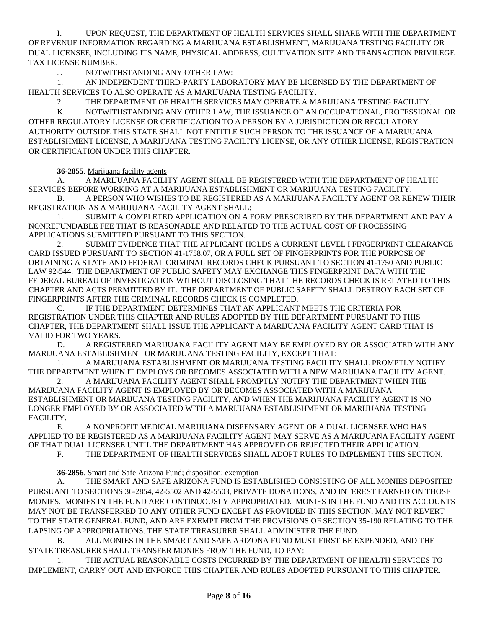I. UPON REQUEST, THE DEPARTMENT OF HEALTH SERVICES SHALL SHARE WITH THE DEPARTMENT OF REVENUE INFORMATION REGARDING A MARIJUANA ESTABLISHMENT, MARIJUANA TESTING FACILITY OR DUAL LICENSEE, INCLUDING ITS NAME, PHYSICAL ADDRESS, CULTIVATION SITE AND TRANSACTION PRIVILEGE TAX LICENSE NUMBER.

J. NOTWITHSTANDING ANY OTHER LAW:

1. AN INDEPENDENT THIRD-PARTY LABORATORY MAY BE LICENSED BY THE DEPARTMENT OF HEALTH SERVICES TO ALSO OPERATE AS A MARIJUANA TESTING FACILITY.

2. THE DEPARTMENT OF HEALTH SERVICES MAY OPERATE A MARIJUANA TESTING FACILITY.

K. NOTWITHSTANDING ANY OTHER LAW, THE ISSUANCE OF AN OCCUPATIONAL, PROFESSIONAL OR OTHER REGULATORY LICENSE OR CERTIFICATION TO A PERSON BY A JURISDICTION OR REGULATORY AUTHORITY OUTSIDE THIS STATE SHALL NOT ENTITLE SUCH PERSON TO THE ISSUANCE OF A MARIJUANA ESTABLISHMENT LICENSE, A MARIJUANA TESTING FACILITY LICENSE, OR ANY OTHER LICENSE, REGISTRATION OR CERTIFICATION UNDER THIS CHAPTER.

**36-2855**. Marijuana facility agents

A. A MARIJUANA FACILITY AGENT SHALL BE REGISTERED WITH THE DEPARTMENT OF HEALTH SERVICES BEFORE WORKING AT A MARIJUANA ESTABLISHMENT OR MARIJUANA TESTING FACILITY.

B. A PERSON WHO WISHES TO BE REGISTERED AS A MARIJUANA FACILITY AGENT OR RENEW THEIR REGISTRATION AS A MARIJUANA FACILITY AGENT SHALL:

1. SUBMIT A COMPLETED APPLICATION ON A FORM PRESCRIBED BY THE DEPARTMENT AND PAY A NONREFUNDABLE FEE THAT IS REASONABLE AND RELATED TO THE ACTUAL COST OF PROCESSING APPLICATIONS SUBMITTED PURSUANT TO THIS SECTION.

2. SUBMIT EVIDENCE THAT THE APPLICANT HOLDS A CURRENT LEVEL I FINGERPRINT CLEARANCE CARD ISSUED PURSUANT TO SECTION 41-1758.07, OR A FULL SET OF FINGERPRINTS FOR THE PURPOSE OF OBTAINING A STATE AND FEDERAL CRIMINAL RECORDS CHECK PURSUANT TO SECTION 41-1750 AND PUBLIC LAW 92-544. THE DEPARTMENT OF PUBLIC SAFETY MAY EXCHANGE THIS FINGERPRINT DATA WITH THE FEDERAL BUREAU OF INVESTIGATION WITHOUT DISCLOSING THAT THE RECORDS CHECK IS RELATED TO THIS CHAPTER AND ACTS PERMITTED BY IT. THE DEPARTMENT OF PUBLIC SAFETY SHALL DESTROY EACH SET OF FINGERPRINTS AFTER THE CRIMINAL RECORDS CHECK IS COMPLETED.

C. IF THE DEPARTMENT DETERMINES THAT AN APPLICANT MEETS THE CRITERIA FOR REGISTRATION UNDER THIS CHAPTER AND RULES ADOPTED BY THE DEPARTMENT PURSUANT TO THIS CHAPTER, THE DEPARTMENT SHALL ISSUE THE APPLICANT A MARIJUANA FACILITY AGENT CARD THAT IS VALID FOR TWO YEARS.

D. A REGISTERED MARIJUANA FACILITY AGENT MAY BE EMPLOYED BY OR ASSOCIATED WITH ANY MARIJUANA ESTABLISHMENT OR MARIJUANA TESTING FACILITY, EXCEPT THAT:

1. A MARIJUANA ESTABLISHMENT OR MARIJUANA TESTING FACILITY SHALL PROMPTLY NOTIFY THE DEPARTMENT WHEN IT EMPLOYS OR BECOMES ASSOCIATED WITH A NEW MARIJUANA FACILITY AGENT.

2. A MARIJUANA FACILITY AGENT SHALL PROMPTLY NOTIFY THE DEPARTMENT WHEN THE MARIJUANA FACILITY AGENT IS EMPLOYED BY OR BECOMES ASSOCIATED WITH A MARIJUANA ESTABLISHMENT OR MARIJUANA TESTING FACILITY, AND WHEN THE MARIJUANA FACILITY AGENT IS NO LONGER EMPLOYED BY OR ASSOCIATED WITH A MARIJUANA ESTABLISHMENT OR MARIJUANA TESTING FACILITY.

E. A NONPROFIT MEDICAL MARIJUANA DISPENSARY AGENT OF A DUAL LICENSEE WHO HAS APPLIED TO BE REGISTERED AS A MARIJUANA FACILITY AGENT MAY SERVE AS A MARIJUANA FACILITY AGENT OF THAT DUAL LICENSEE UNTIL THE DEPARTMENT HAS APPROVED OR REJECTED THEIR APPLICATION.

F. THE DEPARTMENT OF HEALTH SERVICES SHALL ADOPT RULES TO IMPLEMENT THIS SECTION.

**36-2856**. Smart and Safe Arizona Fund; disposition; exemption

A. THE SMART AND SAFE ARIZONA FUND IS ESTABLISHED CONSISTING OF ALL MONIES DEPOSITED PURSUANT TO SECTIONS 36-2854, 42-5502 AND 42-5503, PRIVATE DONATIONS, AND INTEREST EARNED ON THOSE MONIES. MONIES IN THE FUND ARE CONTINUOUSLY APPROPRIATED. MONIES IN THE FUND AND ITS ACCOUNTS MAY NOT BE TRANSFERRED TO ANY OTHER FUND EXCEPT AS PROVIDED IN THIS SECTION, MAY NOT REVERT TO THE STATE GENERAL FUND, AND ARE EXEMPT FROM THE PROVISIONS OF SECTION 35-190 RELATING TO THE LAPSING OF APPROPRIATIONS. THE STATE TREASURER SHALL ADMINISTER THE FUND.

B. ALL MONIES IN THE SMART AND SAFE ARIZONA FUND MUST FIRST BE EXPENDED, AND THE STATE TREASURER SHALL TRANSFER MONIES FROM THE FUND, TO PAY:

1. THE ACTUAL REASONABLE COSTS INCURRED BY THE DEPARTMENT OF HEALTH SERVICES TO IMPLEMENT, CARRY OUT AND ENFORCE THIS CHAPTER AND RULES ADOPTED PURSUANT TO THIS CHAPTER.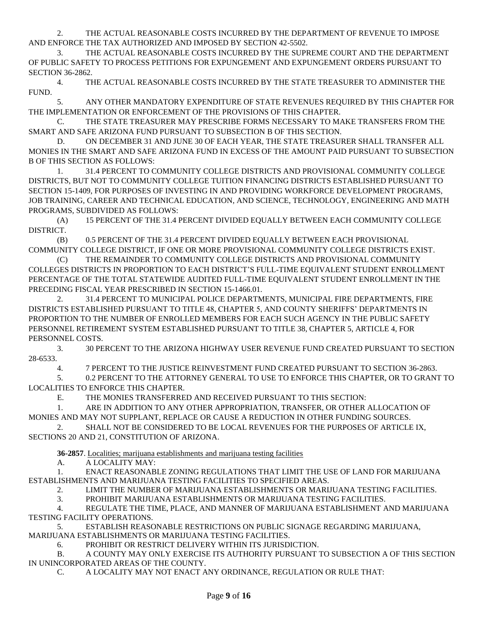2. THE ACTUAL REASONABLE COSTS INCURRED BY THE DEPARTMENT OF REVENUE TO IMPOSE AND ENFORCE THE TAX AUTHORIZED AND IMPOSED BY SECTION 42-5502.

3. THE ACTUAL REASONABLE COSTS INCURRED BY THE SUPREME COURT AND THE DEPARTMENT OF PUBLIC SAFETY TO PROCESS PETITIONS FOR EXPUNGEMENT AND EXPUNGEMENT ORDERS PURSUANT TO SECTION 36-2862.

4. THE ACTUAL REASONABLE COSTS INCURRED BY THE STATE TREASURER TO ADMINISTER THE FUND.

5. ANY OTHER MANDATORY EXPENDITURE OF STATE REVENUES REQUIRED BY THIS CHAPTER FOR THE IMPLEMENTATION OR ENFORCEMENT OF THE PROVISIONS OF THIS CHAPTER.

C. THE STATE TREASURER MAY PRESCRIBE FORMS NECESSARY TO MAKE TRANSFERS FROM THE SMART AND SAFE ARIZONA FUND PURSUANT TO SUBSECTION B OF THIS SECTION.

D. ON DECEMBER 31 AND JUNE 30 OF EACH YEAR, THE STATE TREASURER SHALL TRANSFER ALL MONIES IN THE SMART AND SAFE ARIZONA FUND IN EXCESS OF THE AMOUNT PAID PURSUANT TO SUBSECTION B OF THIS SECTION AS FOLLOWS:

1. 31.4 PERCENT TO COMMUNITY COLLEGE DISTRICTS AND PROVISIONAL COMMUNITY COLLEGE DISTRICTS, BUT NOT TO COMMUNITY COLLEGE TUITION FINANCING DISTRICTS ESTABLISHED PURSUANT TO SECTION 15-1409, FOR PURPOSES OF INVESTING IN AND PROVIDING WORKFORCE DEVELOPMENT PROGRAMS, JOB TRAINING, CAREER AND TECHNICAL EDUCATION, AND SCIENCE, TECHNOLOGY, ENGINEERING AND MATH PROGRAMS, SUBDIVIDED AS FOLLOWS:

(A) 15 PERCENT OF THE 31.4 PERCENT DIVIDED EQUALLY BETWEEN EACH COMMUNITY COLLEGE DISTRICT.

(B) 0.5 PERCENT OF THE 31.4 PERCENT DIVIDED EQUALLY BETWEEN EACH PROVISIONAL COMMUNITY COLLEGE DISTRICT, IF ONE OR MORE PROVISIONAL COMMUNITY COLLEGE DISTRICTS EXIST.

(C) THE REMAINDER TO COMMUNITY COLLEGE DISTRICTS AND PROVISIONAL COMMUNITY COLLEGES DISTRICTS IN PROPORTION TO EACH DISTRICT'S FULL-TIME EQUIVALENT STUDENT ENROLLMENT PERCENTAGE OF THE TOTAL STATEWIDE AUDITED FULL-TIME EQUIVALENT STUDENT ENROLLMENT IN THE PRECEDING FISCAL YEAR PRESCRIBED IN SECTION 15-1466.01.

2. 31.4 PERCENT TO MUNICIPAL POLICE DEPARTMENTS, MUNICIPAL FIRE DEPARTMENTS, FIRE DISTRICTS ESTABLISHED PURSUANT TO TITLE 48, CHAPTER 5, AND COUNTY SHERIFFS' DEPARTMENTS IN PROPORTION TO THE NUMBER OF ENROLLED MEMBERS FOR EACH SUCH AGENCY IN THE PUBLIC SAFETY PERSONNEL RETIREMENT SYSTEM ESTABLISHED PURSUANT TO TITLE 38, CHAPTER 5, ARTICLE 4, FOR PERSONNEL COSTS.

3. 30 PERCENT TO THE ARIZONA HIGHWAY USER REVENUE FUND CREATED PURSUANT TO SECTION 28-6533.

4. 7 PERCENT TO THE JUSTICE REINVESTMENT FUND CREATED PURSUANT TO SECTION 36-2863.

5. 0.2 PERCENT TO THE ATTORNEY GENERAL TO USE TO ENFORCE THIS CHAPTER, OR TO GRANT TO LOCALITIES TO ENFORCE THIS CHAPTER.

E. THE MONIES TRANSFERRED AND RECEIVED PURSUANT TO THIS SECTION:

1. ARE IN ADDITION TO ANY OTHER APPROPRIATION, TRANSFER, OR OTHER ALLOCATION OF MONIES AND MAY NOT SUPPLANT, REPLACE OR CAUSE A REDUCTION IN OTHER FUNDING SOURCES.

2. SHALL NOT BE CONSIDERED TO BE LOCAL REVENUES FOR THE PURPOSES OF ARTICLE IX, SECTIONS 20 AND 21, CONSTITUTION OF ARIZONA.

**36-2857**. Localities; marijuana establishments and marijuana testing facilities

A. A LOCALITY MAY:

1. ENACT REASONABLE ZONING REGULATIONS THAT LIMIT THE USE OF LAND FOR MARIJUANA ESTABLISHMENTS AND MARIJUANA TESTING FACILITIES TO SPECIFIED AREAS.

2. LIMIT THE NUMBER OF MARIJUANA ESTABLISHMENTS OR MARIJUANA TESTING FACILITIES.

3. PROHIBIT MARIJUANA ESTABLISHMENTS OR MARIJUANA TESTING FACILITIES.

4. REGULATE THE TIME, PLACE, AND MANNER OF MARIJUANA ESTABLISHMENT AND MARIJUANA TESTING FACILITY OPERATIONS.

5. ESTABLISH REASONABLE RESTRICTIONS ON PUBLIC SIGNAGE REGARDING MARIJUANA, MARIJUANA ESTABLISHMENTS OR MARIJUANA TESTING FACILITIES.

6. PROHIBIT OR RESTRICT DELIVERY WITHIN ITS JURISDICTION.

B. A COUNTY MAY ONLY EXERCISE ITS AUTHORITY PURSUANT TO SUBSECTION A OF THIS SECTION IN UNINCORPORATED AREAS OF THE COUNTY.

C. A LOCALITY MAY NOT ENACT ANY ORDINANCE, REGULATION OR RULE THAT: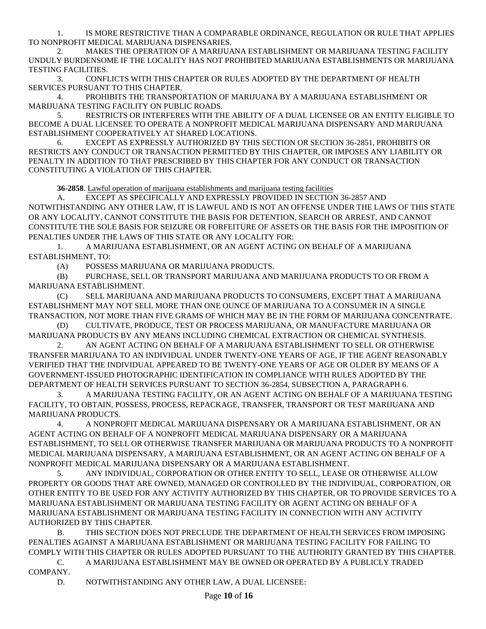1. IS MORE RESTRICTIVE THAN A COMPARABLE ORDINANCE, REGULATION OR RULE THAT APPLIES TO NONPROFIT MEDICAL MARIJUANA DISPENSARIES.

2. MAKES THE OPERATION OF A MARIJUANA ESTABLISHMENT OR MARIJUANA TESTING FACILITY UNDULY BURDENSOME IF THE LOCALITY HAS NOT PROHIBITED MARIJUANA ESTABLISHMENTS OR MARIJUANA TESTING FACILITIES.

3. CONFLICTS WITH THIS CHAPTER OR RULES ADOPTED BY THE DEPARTMENT OF HEALTH SERVICES PURSUANT TO THIS CHAPTER.

4. PROHIBITS THE TRANSPORTATION OF MARIJUANA BY A MARIJUANA ESTABLISHMENT OR MARIJUANA TESTING FACILITY ON PUBLIC ROADS.

5. RESTRICTS OR INTERFERES WITH THE ABILITY OF A DUAL LICENSEE OR AN ENTITY ELIGIBLE TO BECOME A DUAL LICENSEE TO OPERATE A NONPROFIT MEDICAL MARIJUANA DISPENSARY AND MARIJUANA ESTABLISHMENT COOPERATIVELY AT SHARED LOCATIONS.

6. EXCEPT AS EXPRESSLY AUTHORIZED BY THIS SECTION OR SECTION 36-2851, PROHIBITS OR RESTRICTS ANY CONDUCT OR TRANSACTION PERMITTED BY THIS CHAPTER, OR IMPOSES ANY LIABILITY OR PENALTY IN ADDITION TO THAT PRESCRIBED BY THIS CHAPTER FOR ANY CONDUCT OR TRANSACTION CONSTITUTING A VIOLATION OF THIS CHAPTER.

**36-2858**. Lawful operation of marijuana establishments and marijuana testing facilities

A. EXCEPT AS SPECIFICALLY AND EXPRESSLY PROVIDED IN SECTION 36-2857 AND NOTWITHSTANDING ANY OTHER LAW, IT IS LAWFUL AND IS NOT AN OFFENSE UNDER THE LAWS OF THIS STATE OR ANY LOCALITY, CANNOT CONSTITUTE THE BASIS FOR DETENTION, SEARCH OR ARREST, AND CANNOT CONSTITUTE THE SOLE BASIS FOR SEIZURE OR FORFEITURE OF ASSETS OR THE BASIS FOR THE IMPOSITION OF PENALTIES UNDER THE LAWS OF THIS STATE OR ANY LOCALITY FOR:

1. A MARIJUANA ESTABLISHMENT, OR AN AGENT ACTING ON BEHALF OF A MARIJUANA ESTABLISHMENT, TO:

(A) POSSESS MARIJUANA OR MARIJUANA PRODUCTS.

(B) PURCHASE, SELL OR TRANSPORT MARIJUANA AND MARIJUANA PRODUCTS TO OR FROM A MARIJUANA ESTABLISHMENT.

(C) SELL MARIJUANA AND MARIJUANA PRODUCTS TO CONSUMERS, EXCEPT THAT A MARIJUANA ESTABLISHMENT MAY NOT SELL MORE THAN ONE OUNCE OF MARIJUANA TO A CONSUMER IN A SINGLE TRANSACTION, NOT MORE THAN FIVE GRAMS OF WHICH MAY BE IN THE FORM OF MARIJUANA CONCENTRATE.

(D) CULTIVATE, PRODUCE, TEST OR PROCESS MARIJUANA, OR MANUFACTURE MARIJUANA OR MARIJUANA PRODUCTS BY ANY MEANS INCLUDING CHEMICAL EXTRACTION OR CHEMICAL SYNTHESIS.

2. AN AGENT ACTING ON BEHALF OF A MARIJUANA ESTABLISHMENT TO SELL OR OTHERWISE TRANSFER MARIJUANA TO AN INDIVIDUAL UNDER TWENTY-ONE YEARS OF AGE, IF THE AGENT REASONABLY VERIFIED THAT THE INDIVIDUAL APPEARED TO BE TWENTY-ONE YEARS OF AGE OR OLDER BY MEANS OF A GOVERNMENT-ISSUED PHOTOGRAPHIC IDENTIFICATION IN COMPLIANCE WITH RULES ADOPTED BY THE DEPARTMENT OF HEALTH SERVICES PURSUANT TO SECTION 36-2854, SUBSECTION A, PARAGRAPH 6.

3. A MARIJUANA TESTING FACILITY, OR AN AGENT ACTING ON BEHALF OF A MARIJUANA TESTING FACILITY, TO OBTAIN, POSSESS, PROCESS, REPACKAGE, TRANSFER, TRANSPORT OR TEST MARIJUANA AND MARIJUANA PRODUCTS.

4. A NONPROFIT MEDICAL MARIJUANA DISPENSARY OR A MARIJUANA ESTABLISHMENT, OR AN AGENT ACTING ON BEHALF OF A NONPROFIT MEDICAL MARIJUANA DISPENSARY OR A MARIJUANA ESTABLISHMENT, TO SELL OR OTHERWISE TRANSFER MARIJUANA OR MARIJUANA PRODUCTS TO A NONPROFIT MEDICAL MARIJUANA DISPENSARY, A MARIJUANA ESTABLISHMENT, OR AN AGENT ACTING ON BEHALF OF A NONPROFIT MEDICAL MARIJUANA DISPENSARY OR A MARIJUANA ESTABLISHMENT.

5. ANY INDIVIDUAL, CORPORATION OR OTHER ENTITY TO SELL, LEASE OR OTHERWISE ALLOW PROPERTY OR GOODS THAT ARE OWNED, MANAGED OR CONTROLLED BY THE INDIVIDUAL, CORPORATION, OR OTHER ENTITY TO BE USED FOR ANY ACTIVITY AUTHORIZED BY THIS CHAPTER, OR TO PROVIDE SERVICES TO A MARIJUANA ESTABLISHMENT OR MARIJUANA TESTING FACILITY OR AGENT ACTING ON BEHALF OF A MARIJUANA ESTABLISHMENT OR MARIJUANA TESTING FACILITY IN CONNECTION WITH ANY ACTIVITY AUTHORIZED BY THIS CHAPTER.

B. THIS SECTION DOES NOT PRECLUDE THE DEPARTMENT OF HEALTH SERVICES FROM IMPOSING PENALTIES AGAINST A MARIJUANA ESTABLISHMENT OR MARIJUANA TESTING FACILITY FOR FAILING TO COMPLY WITH THIS CHAPTER OR RULES ADOPTED PURSUANT TO THE AUTHORITY GRANTED BY THIS CHAPTER.

C. A MARIJUANA ESTABLISHMENT MAY BE OWNED OR OPERATED BY A PUBLICLY TRADED COMPANY.

D. NOTWITHSTANDING ANY OTHER LAW, A DUAL LICENSEE: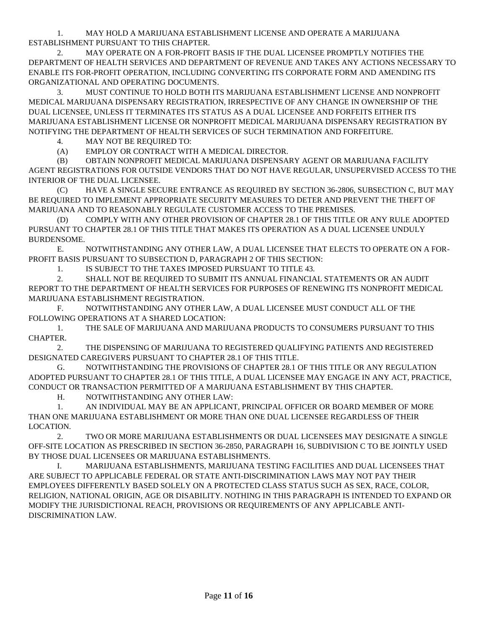1. MAY HOLD A MARIJUANA ESTABLISHMENT LICENSE AND OPERATE A MARIJUANA ESTABLISHMENT PURSUANT TO THIS CHAPTER.

2. MAY OPERATE ON A FOR-PROFIT BASIS IF THE DUAL LICENSEE PROMPTLY NOTIFIES THE DEPARTMENT OF HEALTH SERVICES AND DEPARTMENT OF REVENUE AND TAKES ANY ACTIONS NECESSARY TO ENABLE ITS FOR-PROFIT OPERATION, INCLUDING CONVERTING ITS CORPORATE FORM AND AMENDING ITS ORGANIZATIONAL AND OPERATING DOCUMENTS.

3. MUST CONTINUE TO HOLD BOTH ITS MARIJUANA ESTABLISHMENT LICENSE AND NONPROFIT MEDICAL MARIJUANA DISPENSARY REGISTRATION, IRRESPECTIVE OF ANY CHANGE IN OWNERSHIP OF THE DUAL LICENSEE, UNLESS IT TERMINATES ITS STATUS AS A DUAL LICENSEE AND FORFEITS EITHER ITS MARIJUANA ESTABLISHMENT LICENSE OR NONPROFIT MEDICAL MARIJUANA DISPENSARY REGISTRATION BY NOTIFYING THE DEPARTMENT OF HEALTH SERVICES OF SUCH TERMINATION AND FORFEITURE.

4. MAY NOT BE REQUIRED TO:

(A) EMPLOY OR CONTRACT WITH A MEDICAL DIRECTOR.

(B) OBTAIN NONPROFIT MEDICAL MARIJUANA DISPENSARY AGENT OR MARIJUANA FACILITY AGENT REGISTRATIONS FOR OUTSIDE VENDORS THAT DO NOT HAVE REGULAR, UNSUPERVISED ACCESS TO THE INTERIOR OF THE DUAL LICENSEE.

(C) HAVE A SINGLE SECURE ENTRANCE AS REQUIRED BY SECTION 36-2806, SUBSECTION C, BUT MAY BE REQUIRED TO IMPLEMENT APPROPRIATE SECURITY MEASURES TO DETER AND PREVENT THE THEFT OF MARIJUANA AND TO REASONABLY REGULATE CUSTOMER ACCESS TO THE PREMISES.

(D) COMPLY WITH ANY OTHER PROVISION OF CHAPTER 28.1 OF THIS TITLE OR ANY RULE ADOPTED PURSUANT TO CHAPTER 28.1 OF THIS TITLE THAT MAKES ITS OPERATION AS A DUAL LICENSEE UNDULY BURDENSOME.

E. NOTWITHSTANDING ANY OTHER LAW, A DUAL LICENSEE THAT ELECTS TO OPERATE ON A FOR-PROFIT BASIS PURSUANT TO SUBSECTION D, PARAGRAPH 2 OF THIS SECTION:

1. IS SUBJECT TO THE TAXES IMPOSED PURSUANT TO TITLE 43.

2. SHALL NOT BE REQUIRED TO SUBMIT ITS ANNUAL FINANCIAL STATEMENTS OR AN AUDIT REPORT TO THE DEPARTMENT OF HEALTH SERVICES FOR PURPOSES OF RENEWING ITS NONPROFIT MEDICAL MARIJUANA ESTABLISHMENT REGISTRATION.

F. NOTWITHSTANDING ANY OTHER LAW, A DUAL LICENSEE MUST CONDUCT ALL OF THE FOLLOWING OPERATIONS AT A SHARED LOCATION:

1. THE SALE OF MARIJUANA AND MARIJUANA PRODUCTS TO CONSUMERS PURSUANT TO THIS CHAPTER.

2. THE DISPENSING OF MARIJUANA TO REGISTERED QUALIFYING PATIENTS AND REGISTERED DESIGNATED CAREGIVERS PURSUANT TO CHAPTER 28.1 OF THIS TITLE.

G. NOTWITHSTANDING THE PROVISIONS OF CHAPTER 28.1 OF THIS TITLE OR ANY REGULATION ADOPTED PURSUANT TO CHAPTER 28.1 OF THIS TITLE, A DUAL LICENSEE MAY ENGAGE IN ANY ACT, PRACTICE, CONDUCT OR TRANSACTION PERMITTED OF A MARIJUANA ESTABLISHMENT BY THIS CHAPTER.

H. NOTWITHSTANDING ANY OTHER LAW:

1. AN INDIVIDUAL MAY BE AN APPLICANT, PRINCIPAL OFFICER OR BOARD MEMBER OF MORE THAN ONE MARIJUANA ESTABLISHMENT OR MORE THAN ONE DUAL LICENSEE REGARDLESS OF THEIR LOCATION.

2. TWO OR MORE MARIJUANA ESTABLISHMENTS OR DUAL LICENSEES MAY DESIGNATE A SINGLE OFF-SITE LOCATION AS PRESCRIBED IN SECTION 36-2850, PARAGRAPH 16, SUBDIVISION C TO BE JOINTLY USED BY THOSE DUAL LICENSEES OR MARIJUANA ESTABLISHMENTS.

I. MARIJUANA ESTABLISHMENTS, MARIJUANA TESTING FACILITIES AND DUAL LICENSEES THAT ARE SUBJECT TO APPLICABLE FEDERAL OR STATE ANTI-DISCRIMINATION LAWS MAY NOT PAY THEIR EMPLOYEES DIFFERENTLY BASED SOLELY ON A PROTECTED CLASS STATUS SUCH AS SEX, RACE, COLOR, RELIGION, NATIONAL ORIGIN, AGE OR DISABILITY. NOTHING IN THIS PARAGRAPH IS INTENDED TO EXPAND OR MODIFY THE JURISDICTIONAL REACH, PROVISIONS OR REQUIREMENTS OF ANY APPLICABLE ANTI-DISCRIMINATION LAW.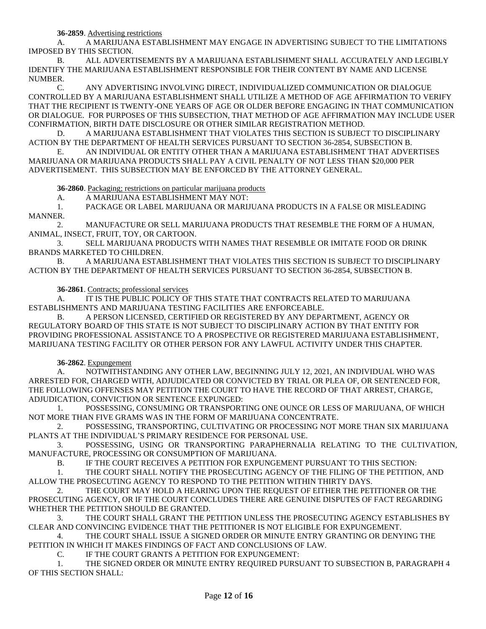**36-2859**. Advertising restrictions

A. A MARIJUANA ESTABLISHMENT MAY ENGAGE IN ADVERTISING SUBJECT TO THE LIMITATIONS IMPOSED BY THIS SECTION.

B. ALL ADVERTISEMENTS BY A MARIJUANA ESTABLISHMENT SHALL ACCURATELY AND LEGIBLY IDENTIFY THE MARIJUANA ESTABLISHMENT RESPONSIBLE FOR THEIR CONTENT BY NAME AND LICENSE NUMBER.

C. ANY ADVERTISING INVOLVING DIRECT, INDIVIDUALIZED COMMUNICATION OR DIALOGUE CONTROLLED BY A MARIJUANA ESTABLISHMENT SHALL UTILIZE A METHOD OF AGE AFFIRMATION TO VERIFY THAT THE RECIPIENT IS TWENTY-ONE YEARS OF AGE OR OLDER BEFORE ENGAGING IN THAT COMMUNICATION OR DIALOGUE. FOR PURPOSES OF THIS SUBSECTION, THAT METHOD OF AGE AFFIRMATION MAY INCLUDE USER CONFIRMATION, BIRTH DATE DISCLOSURE OR OTHER SIMILAR REGISTRATION METHOD.

D. A MARIJUANA ESTABLISHMENT THAT VIOLATES THIS SECTION IS SUBJECT TO DISCIPLINARY ACTION BY THE DEPARTMENT OF HEALTH SERVICES PURSUANT TO SECTION 36-2854, SUBSECTION B.

E. AN INDIVIDUAL OR ENTITY OTHER THAN A MARIJUANA ESTABLISHMENT THAT ADVERTISES MARIJUANA OR MARIJUANA PRODUCTS SHALL PAY A CIVIL PENALTY OF NOT LESS THAN \$20,000 PER ADVERTISEMENT. THIS SUBSECTION MAY BE ENFORCED BY THE ATTORNEY GENERAL.

**36-2860**. Packaging; restrictions on particular marijuana products

A. A MARIJUANA ESTABLISHMENT MAY NOT:

1. PACKAGE OR LABEL MARIJUANA OR MARIJUANA PRODUCTS IN A FALSE OR MISLEADING MANNER.

2. MANUFACTURE OR SELL MARIJUANA PRODUCTS THAT RESEMBLE THE FORM OF A HUMAN, ANIMAL, INSECT, FRUIT, TOY, OR CARTOON.

3. SELL MARIJUANA PRODUCTS WITH NAMES THAT RESEMBLE OR IMITATE FOOD OR DRINK BRANDS MARKETED TO CHILDREN.

B. A MARIJUANA ESTABLISHMENT THAT VIOLATES THIS SECTION IS SUBJECT TO DISCIPLINARY ACTION BY THE DEPARTMENT OF HEALTH SERVICES PURSUANT TO SECTION 36-2854, SUBSECTION B.

**36-2861**. Contracts; professional services

A. IT IS THE PUBLIC POLICY OF THIS STATE THAT CONTRACTS RELATED TO MARIJUANA ESTABLISHMENTS AND MARIJUANA TESTING FACILITIES ARE ENFORCEABLE.

A PERSON LICENSED, CERTIFIED OR REGISTERED BY ANY DEPARTMENT, AGENCY OR REGULATORY BOARD OF THIS STATE IS NOT SUBJECT TO DISCIPLINARY ACTION BY THAT ENTITY FOR PROVIDING PROFESSIONAL ASSISTANCE TO A PROSPECTIVE OR REGISTERED MARIJUANA ESTABLISHMENT, MARIJUANA TESTING FACILITY OR OTHER PERSON FOR ANY LAWFUL ACTIVITY UNDER THIS CHAPTER.

**36-2862**. Expungement

A. NOTWITHSTANDING ANY OTHER LAW, BEGINNING JULY 12, 2021, AN INDIVIDUAL WHO WAS ARRESTED FOR, CHARGED WITH, ADJUDICATED OR CONVICTED BY TRIAL OR PLEA OF, OR SENTENCED FOR, THE FOLLOWING OFFENSES MAY PETITION THE COURT TO HAVE THE RECORD OF THAT ARREST, CHARGE, ADJUDICATION, CONVICTION OR SENTENCE EXPUNGED:

1. POSSESSING, CONSUMING OR TRANSPORTING ONE OUNCE OR LESS OF MARIJUANA, OF WHICH NOT MORE THAN FIVE GRAMS WAS IN THE FORM OF MARIJUANA CONCENTRATE.

2. POSSESSING, TRANSPORTING, CULTIVATING OR PROCESSING NOT MORE THAN SIX MARIJUANA PLANTS AT THE INDIVIDUAL'S PRIMARY RESIDENCE FOR PERSONAL USE.

3. POSSESSING, USING OR TRANSPORTING PARAPHERNALIA RELATING TO THE CULTIVATION, MANUFACTURE, PROCESSING OR CONSUMPTION OF MARIJUANA.

B. IF THE COURT RECEIVES A PETITION FOR EXPUNGEMENT PURSUANT TO THIS SECTION:

1. THE COURT SHALL NOTIFY THE PROSECUTING AGENCY OF THE FILING OF THE PETITION, AND ALLOW THE PROSECUTING AGENCY TO RESPOND TO THE PETITION WITHIN THIRTY DAYS.

2. THE COURT MAY HOLD A HEARING UPON THE REQUEST OF EITHER THE PETITIONER OR THE PROSECUTING AGENCY, OR IF THE COURT CONCLUDES THERE ARE GENUINE DISPUTES OF FACT REGARDING WHETHER THE PETITION SHOULD BE GRANTED.

3. THE COURT SHALL GRANT THE PETITION UNLESS THE PROSECUTING AGENCY ESTABLISHES BY CLEAR AND CONVINCING EVIDENCE THAT THE PETITIONER IS NOT ELIGIBLE FOR EXPUNGEMENT.

4. THE COURT SHALL ISSUE A SIGNED ORDER OR MINUTE ENTRY GRANTING OR DENYING THE PETITION IN WHICH IT MAKES FINDINGS OF FACT AND CONCLUSIONS OF LAW.

C. IF THE COURT GRANTS A PETITION FOR EXPUNGEMENT:

1. THE SIGNED ORDER OR MINUTE ENTRY REQUIRED PURSUANT TO SUBSECTION B, PARAGRAPH 4 OF THIS SECTION SHALL: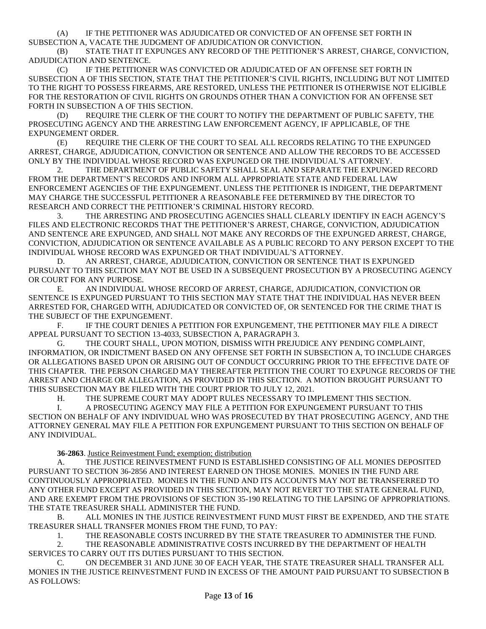(A) IF THE PETITIONER WAS ADJUDICATED OR CONVICTED OF AN OFFENSE SET FORTH IN SUBSECTION A, VACATE THE JUDGMENT OF ADJUDICATION OR CONVICTION.

(B) STATE THAT IT EXPUNGES ANY RECORD OF THE PETITIONER'S ARREST, CHARGE, CONVICTION, ADJUDICATION AND SENTENCE.

(C) IF THE PETITIONER WAS CONVICTED OR ADJUDICATED OF AN OFFENSE SET FORTH IN SUBSECTION A OF THIS SECTION, STATE THAT THE PETITIONER'S CIVIL RIGHTS, INCLUDING BUT NOT LIMITED TO THE RIGHT TO POSSESS FIREARMS, ARE RESTORED, UNLESS THE PETITIONER IS OTHERWISE NOT ELIGIBLE FOR THE RESTORATION OF CIVIL RIGHTS ON GROUNDS OTHER THAN A CONVICTION FOR AN OFFENSE SET FORTH IN SUBSECTION A OF THIS SECTION.

(D) REQUIRE THE CLERK OF THE COURT TO NOTIFY THE DEPARTMENT OF PUBLIC SAFETY, THE PROSECUTING AGENCY AND THE ARRESTING LAW ENFORCEMENT AGENCY, IF APPLICABLE, OF THE EXPUNGEMENT ORDER.

(E) REQUIRE THE CLERK OF THE COURT TO SEAL ALL RECORDS RELATING TO THE EXPUNGED ARREST, CHARGE, ADJUDICATION, CONVICTION OR SENTENCE AND ALLOW THE RECORDS TO BE ACCESSED ONLY BY THE INDIVIDUAL WHOSE RECORD WAS EXPUNGED OR THE INDIVIDUAL'S ATTORNEY.

2. THE DEPARTMENT OF PUBLIC SAFETY SHALL SEAL AND SEPARATE THE EXPUNGED RECORD FROM THE DEPARTMENT'S RECORDS AND INFORM ALL APPROPRIATE STATE AND FEDERAL LAW ENFORCEMENT AGENCIES OF THE EXPUNGEMENT. UNLESS THE PETITIONER IS INDIGENT, THE DEPARTMENT MAY CHARGE THE SUCCESSFUL PETITIONER A REASONABLE FEE DETERMINED BY THE DIRECTOR TO RESEARCH AND CORRECT THE PETITIONER'S CRIMINAL HISTORY RECORD.

3. THE ARRESTING AND PROSECUTING AGENCIES SHALL CLEARLY IDENTIFY IN EACH AGENCY'S FILES AND ELECTRONIC RECORDS THAT THE PETITIONER'S ARREST, CHARGE, CONVICTION, ADJUDICATION AND SENTENCE ARE EXPUNGED, AND SHALL NOT MAKE ANY RECORDS OF THE EXPUNGED ARREST, CHARGE, CONVICTION, ADJUDICATION OR SENTENCE AVAILABLE AS A PUBLIC RECORD TO ANY PERSON EXCEPT TO THE INDIVIDUAL WHOSE RECORD WAS EXPUNGED OR THAT INDIVIDUAL'S ATTORNEY.

D. AN ARREST, CHARGE, ADJUDICATION, CONVICTION OR SENTENCE THAT IS EXPUNGED PURSUANT TO THIS SECTION MAY NOT BE USED IN A SUBSEQUENT PROSECUTION BY A PROSECUTING AGENCY OR COURT FOR ANY PURPOSE.

E. AN INDIVIDUAL WHOSE RECORD OF ARREST, CHARGE, ADJUDICATION, CONVICTION OR SENTENCE IS EXPUNGED PURSUANT TO THIS SECTION MAY STATE THAT THE INDIVIDUAL HAS NEVER BEEN ARRESTED FOR, CHARGED WITH, ADJUDICATED OR CONVICTED OF, OR SENTENCED FOR THE CRIME THAT IS THE SUBJECT OF THE EXPUNGEMENT.

F. IF THE COURT DENIES A PETITION FOR EXPUNGEMENT, THE PETITIONER MAY FILE A DIRECT APPEAL PURSUANT TO SECTION 13-4033, SUBSECTION A, PARAGRAPH 3.

G. THE COURT SHALL, UPON MOTION, DISMISS WITH PREJUDICE ANY PENDING COMPLAINT, INFORMATION, OR INDICTMENT BASED ON ANY OFFENSE SET FORTH IN SUBSECTION A, TO INCLUDE CHARGES OR ALLEGATIONS BASED UPON OR ARISING OUT OF CONDUCT OCCURRING PRIOR TO THE EFFECTIVE DATE OF THIS CHAPTER. THE PERSON CHARGED MAY THEREAFTER PETITION THE COURT TO EXPUNGE RECORDS OF THE ARREST AND CHARGE OR ALLEGATION, AS PROVIDED IN THIS SECTION. A MOTION BROUGHT PURSUANT TO THIS SUBSECTION MAY BE FILED WITH THE COURT PRIOR TO JULY 12, 2021.

H. THE SUPREME COURT MAY ADOPT RULES NECESSARY TO IMPLEMENT THIS SECTION.

I. A PROSECUTING AGENCY MAY FILE A PETITION FOR EXPUNGEMENT PURSUANT TO THIS SECTION ON BEHALF OF ANY INDIVIDUAL WHO WAS PROSECUTED BY THAT PROSECUTING AGENCY, AND THE ATTORNEY GENERAL MAY FILE A PETITION FOR EXPUNGEMENT PURSUANT TO THIS SECTION ON BEHALF OF ANY INDIVIDUAL.

### **36-2863**. Justice Reinvestment Fund; exemption; distribution

A. THE JUSTICE REINVESTMENT FUND IS ESTABLISHED CONSISTING OF ALL MONIES DEPOSITED PURSUANT TO SECTION 36-2856 AND INTEREST EARNED ON THOSE MONIES. MONIES IN THE FUND ARE CONTINUOUSLY APPROPRIATED. MONIES IN THE FUND AND ITS ACCOUNTS MAY NOT BE TRANSFERRED TO ANY OTHER FUND EXCEPT AS PROVIDED IN THIS SECTION, MAY NOT REVERT TO THE STATE GENERAL FUND, AND ARE EXEMPT FROM THE PROVISIONS OF SECTION 35-190 RELATING TO THE LAPSING OF APPROPRIATIONS. THE STATE TREASURER SHALL ADMINISTER THE FUND.

B. ALL MONIES IN THE JUSTICE REINVESTMENT FUND MUST FIRST BE EXPENDED, AND THE STATE TREASURER SHALL TRANSFER MONIES FROM THE FUND, TO PAY:

1. THE REASONABLE COSTS INCURRED BY THE STATE TREASURER TO ADMINISTER THE FUND.

2. THE REASONABLE ADMINISTRATIVE COSTS INCURRED BY THE DEPARTMENT OF HEALTH SERVICES TO CARRY OUT ITS DUTIES PURSUANT TO THIS SECTION.

C. ON DECEMBER 31 AND JUNE 30 OF EACH YEAR, THE STATE TREASURER SHALL TRANSFER ALL MONIES IN THE JUSTICE REINVESTMENT FUND IN EXCESS OF THE AMOUNT PAID PURSUANT TO SUBSECTION B AS FOLLOWS: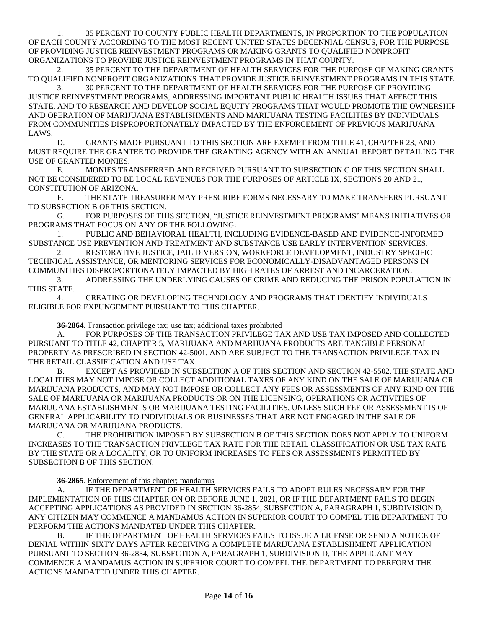1. 35 PERCENT TO COUNTY PUBLIC HEALTH DEPARTMENTS, IN PROPORTION TO THE POPULATION OF EACH COUNTY ACCORDING TO THE MOST RECENT UNITED STATES DECENNIAL CENSUS, FOR THE PURPOSE OF PROVIDING JUSTICE REINVESTMENT PROGRAMS OR MAKING GRANTS TO QUALIFIED NONPROFIT ORGANIZATIONS TO PROVIDE JUSTICE REINVESTMENT PROGRAMS IN THAT COUNTY.

2. 35 PERCENT TO THE DEPARTMENT OF HEALTH SERVICES FOR THE PURPOSE OF MAKING GRANTS TO QUALIFIED NONPROFIT ORGANIZATIONS THAT PROVIDE JUSTICE REINVESTMENT PROGRAMS IN THIS STATE. 3. 30 PERCENT TO THE DEPARTMENT OF HEALTH SERVICES FOR THE PURPOSE OF PROVIDING

JUSTICE REINVESTMENT PROGRAMS, ADDRESSING IMPORTANT PUBLIC HEALTH ISSUES THAT AFFECT THIS STATE, AND TO RESEARCH AND DEVELOP SOCIAL EQUITY PROGRAMS THAT WOULD PROMOTE THE OWNERSHIP AND OPERATION OF MARIJUANA ESTABLISHMENTS AND MARIJUANA TESTING FACILITIES BY INDIVIDUALS FROM COMMUNITIES DISPROPORTIONATELY IMPACTED BY THE ENFORCEMENT OF PREVIOUS MARIJUANA LAWS.

D. GRANTS MADE PURSUANT TO THIS SECTION ARE EXEMPT FROM TITLE 41, CHAPTER 23, AND MUST REQUIRE THE GRANTEE TO PROVIDE THE GRANTING AGENCY WITH AN ANNUAL REPORT DETAILING THE USE OF GRANTED MONIES.

E. MONIES TRANSFERRED AND RECEIVED PURSUANT TO SUBSECTION C OF THIS SECTION SHALL NOT BE CONSIDERED TO BE LOCAL REVENUES FOR THE PURPOSES OF ARTICLE IX, SECTIONS 20 AND 21, CONSTITUTION OF ARIZONA.

F. THE STATE TREASURER MAY PRESCRIBE FORMS NECESSARY TO MAKE TRANSFERS PURSUANT TO SUBSECTION B OF THIS SECTION.

G. FOR PURPOSES OF THIS SECTION, "JUSTICE REINVESTMENT PROGRAMS" MEANS INITIATIVES OR PROGRAMS THAT FOCUS ON ANY OF THE FOLLOWING:

1. PUBLIC AND BEHAVIORAL HEALTH, INCLUDING EVIDENCE-BASED AND EVIDENCE-INFORMED SUBSTANCE USE PREVENTION AND TREATMENT AND SUBSTANCE USE EARLY INTERVENTION SERVICES.

2. RESTORATIVE JUSTICE, JAIL DIVERSION, WORKFORCE DEVELOPMENT, INDUSTRY SPECIFIC TECHNICAL ASSISTANCE, OR MENTORING SERVICES FOR ECONOMICALLY-DISADVANTAGED PERSONS IN COMMUNITIES DISPROPORTIONATELY IMPACTED BY HIGH RATES OF ARREST AND INCARCERATION.

3. ADDRESSING THE UNDERLYING CAUSES OF CRIME AND REDUCING THE PRISON POPULATION IN THIS STATE.

4. CREATING OR DEVELOPING TECHNOLOGY AND PROGRAMS THAT IDENTIFY INDIVIDUALS ELIGIBLE FOR EXPUNGEMENT PURSUANT TO THIS CHAPTER.

**36-2864**. Transaction privilege tax; use tax; additional taxes prohibited

A. FOR PURPOSES OF THE TRANSACTION PRIVILEGE TAX AND USE TAX IMPOSED AND COLLECTED PURSUANT TO TITLE 42, CHAPTER 5, MARIJUANA AND MARIJUANA PRODUCTS ARE TANGIBLE PERSONAL PROPERTY AS PRESCRIBED IN SECTION 42-5001, AND ARE SUBJECT TO THE TRANSACTION PRIVILEGE TAX IN THE RETAIL CLASSIFICATION AND USE TAX.

B. EXCEPT AS PROVIDED IN SUBSECTION A OF THIS SECTION AND SECTION 42-5502, THE STATE AND LOCALITIES MAY NOT IMPOSE OR COLLECT ADDITIONAL TAXES OF ANY KIND ON THE SALE OF MARIJUANA OR MARIJUANA PRODUCTS, AND MAY NOT IMPOSE OR COLLECT ANY FEES OR ASSESSMENTS OF ANY KIND ON THE SALE OF MARIJUANA OR MARIJUANA PRODUCTS OR ON THE LICENSING, OPERATIONS OR ACTIVITIES OF MARIJUANA ESTABLISHMENTS OR MARIJUANA TESTING FACILITIES, UNLESS SUCH FEE OR ASSESSMENT IS OF GENERAL APPLICABILITY TO INDIVIDUALS OR BUSINESSES THAT ARE NOT ENGAGED IN THE SALE OF MARIJUANA OR MARIJUANA PRODUCTS.

C. THE PROHIBITION IMPOSED BY SUBSECTION B OF THIS SECTION DOES NOT APPLY TO UNIFORM INCREASES TO THE TRANSACTION PRIVILEGE TAX RATE FOR THE RETAIL CLASSIFICATION OR USE TAX RATE BY THE STATE OR A LOCALITY, OR TO UNIFORM INCREASES TO FEES OR ASSESSMENTS PERMITTED BY SUBSECTION B OF THIS SECTION.

# **36-2865**. Enforcement of this chapter; mandamus

A. IF THE DEPARTMENT OF HEALTH SERVICES FAILS TO ADOPT RULES NECESSARY FOR THE IMPLEMENTATION OF THIS CHAPTER ON OR BEFORE JUNE 1, 2021, OR IF THE DEPARTMENT FAILS TO BEGIN ACCEPTING APPLICATIONS AS PROVIDED IN SECTION 36-2854, SUBSECTION A, PARAGRAPH 1, SUBDIVISION D, ANY CITIZEN MAY COMMENCE A MANDAMUS ACTION IN SUPERIOR COURT TO COMPEL THE DEPARTMENT TO PERFORM THE ACTIONS MANDATED UNDER THIS CHAPTER.

B. IF THE DEPARTMENT OF HEALTH SERVICES FAILS TO ISSUE A LICENSE OR SEND A NOTICE OF DENIAL WITHIN SIXTY DAYS AFTER RECEIVING A COMPLETE MARIJUANA ESTABLISHMENT APPLICATION PURSUANT TO SECTION 36-2854, SUBSECTION A, PARAGRAPH 1, SUBDIVISION D, THE APPLICANT MAY COMMENCE A MANDAMUS ACTION IN SUPERIOR COURT TO COMPEL THE DEPARTMENT TO PERFORM THE ACTIONS MANDATED UNDER THIS CHAPTER.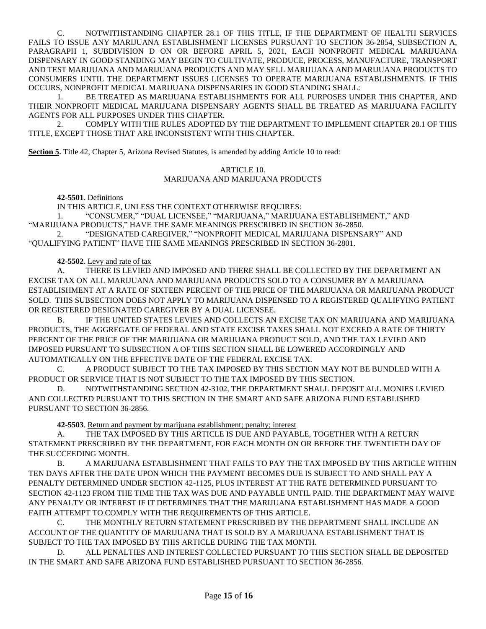C. NOTWITHSTANDING CHAPTER 28.1 OF THIS TITLE, IF THE DEPARTMENT OF HEALTH SERVICES FAILS TO ISSUE ANY MARIJUANA ESTABLISHMENT LICENSES PURSUANT TO SECTION 36-2854, SUBSECTION A, PARAGRAPH 1, SUBDIVISION D ON OR BEFORE APRIL 5, 2021, EACH NONPROFIT MEDICAL MARIJUANA DISPENSARY IN GOOD STANDING MAY BEGIN TO CULTIVATE, PRODUCE, PROCESS, MANUFACTURE, TRANSPORT AND TEST MARIJUANA AND MARIJUANA PRODUCTS AND MAY SELL MARIJUANA AND MARIJUANA PRODUCTS TO CONSUMERS UNTIL THE DEPARTMENT ISSUES LICENSES TO OPERATE MARIJUANA ESTABLISHMENTS. IF THIS OCCURS, NONPROFIT MEDICAL MARIJUANA DISPENSARIES IN GOOD STANDING SHALL:

1. BE TREATED AS MARIJUANA ESTABLISHMENTS FOR ALL PURPOSES UNDER THIS CHAPTER, AND THEIR NONPROFIT MEDICAL MARIJUANA DISPENSARY AGENTS SHALL BE TREATED AS MARIJUANA FACILITY AGENTS FOR ALL PURPOSES UNDER THIS CHAPTER.

2. COMPLY WITH THE RULES ADOPTED BY THE DEPARTMENT TO IMPLEMENT CHAPTER 28.1 OF THIS TITLE, EXCEPT THOSE THAT ARE INCONSISTENT WITH THIS CHAPTER.

**Section 5.** Title 42, Chapter 5, Arizona Revised Statutes, is amended by adding Article 10 to read:

## ARTICLE 10. MARIJUANA AND MARIJUANA PRODUCTS

# **42-5501**. Definitions

IN THIS ARTICLE, UNLESS THE CONTEXT OTHERWISE REQUIRES:

1. "CONSUMER," "DUAL LICENSEE," "MARIJUANA," MARIJUANA ESTABLISHMENT," AND "MARIJUANA PRODUCTS," HAVE THE SAME MEANINGS PRESCRIBED IN SECTION 36-2850.

2. "DESIGNATED CAREGIVER," "NONPROFIT MEDICAL MARIJUANA DISPENSARY" AND "QUALIFYING PATIENT" HAVE THE SAME MEANINGS PRESCRIBED IN SECTION 36-2801.

### **42-5502**. Levy and rate of tax

A. THERE IS LEVIED AND IMPOSED AND THERE SHALL BE COLLECTED BY THE DEPARTMENT AN EXCISE TAX ON ALL MARIJUANA AND MARIJUANA PRODUCTS SOLD TO A CONSUMER BY A MARIJUANA ESTABLISHMENT AT A RATE OF SIXTEEN PERCENT OF THE PRICE OF THE MARIJUANA OR MARIJUANA PRODUCT SOLD. THIS SUBSECTION DOES NOT APPLY TO MARIJUANA DISPENSED TO A REGISTERED QUALIFYING PATIENT OR REGISTERED DESIGNATED CAREGIVER BY A DUAL LICENSEE.

B. IF THE UNITED STATES LEVIES AND COLLECTS AN EXCISE TAX ON MARIJUANA AND MARIJUANA PRODUCTS, THE AGGREGATE OF FEDERAL AND STATE EXCISE TAXES SHALL NOT EXCEED A RATE OF THIRTY PERCENT OF THE PRICE OF THE MARIJUANA OR MARIJUANA PRODUCT SOLD, AND THE TAX LEVIED AND IMPOSED PURSUANT TO SUBSECTION A OF THIS SECTION SHALL BE LOWERED ACCORDINGLY AND AUTOMATICALLY ON THE EFFECTIVE DATE OF THE FEDERAL EXCISE TAX.

C. A PRODUCT SUBJECT TO THE TAX IMPOSED BY THIS SECTION MAY NOT BE BUNDLED WITH A PRODUCT OR SERVICE THAT IS NOT SUBJECT TO THE TAX IMPOSED BY THIS SECTION.

D. NOTWITHSTANDING SECTION 42-3102, THE DEPARTMENT SHALL DEPOSIT ALL MONIES LEVIED AND COLLECTED PURSUANT TO THIS SECTION IN THE SMART AND SAFE ARIZONA FUND ESTABLISHED PURSUANT TO SECTION 36-2856.

**42-5503**. Return and payment by marijuana establishment; penalty; interest

THE TAX IMPOSED BY THIS ARTICLE IS DUE AND PAYABLE, TOGETHER WITH A RETURN STATEMENT PRESCRIBED BY THE DEPARTMENT, FOR EACH MONTH ON OR BEFORE THE TWENTIETH DAY OF THE SUCCEEDING MONTH.

B. A MARIJUANA ESTABLISHMENT THAT FAILS TO PAY THE TAX IMPOSED BY THIS ARTICLE WITHIN TEN DAYS AFTER THE DATE UPON WHICH THE PAYMENT BECOMES DUE IS SUBJECT TO AND SHALL PAY A PENALTY DETERMINED UNDER SECTION 42-1125, PLUS INTEREST AT THE RATE DETERMINED PURSUANT TO SECTION 42-1123 FROM THE TIME THE TAX WAS DUE AND PAYABLE UNTIL PAID. THE DEPARTMENT MAY WAIVE ANY PENALTY OR INTEREST IF IT DETERMINES THAT THE MARIJUANA ESTABLISHMENT HAS MADE A GOOD FAITH ATTEMPT TO COMPLY WITH THE REQUIREMENTS OF THIS ARTICLE.

C. THE MONTHLY RETURN STATEMENT PRESCRIBED BY THE DEPARTMENT SHALL INCLUDE AN ACCOUNT OF THE QUANTITY OF MARIJUANA THAT IS SOLD BY A MARIJUANA ESTABLISHMENT THAT IS SUBJECT TO THE TAX IMPOSED BY THIS ARTICLE DURING THE TAX MONTH.

D. ALL PENALTIES AND INTEREST COLLECTED PURSUANT TO THIS SECTION SHALL BE DEPOSITED IN THE SMART AND SAFE ARIZONA FUND ESTABLISHED PURSUANT TO SECTION 36-2856.